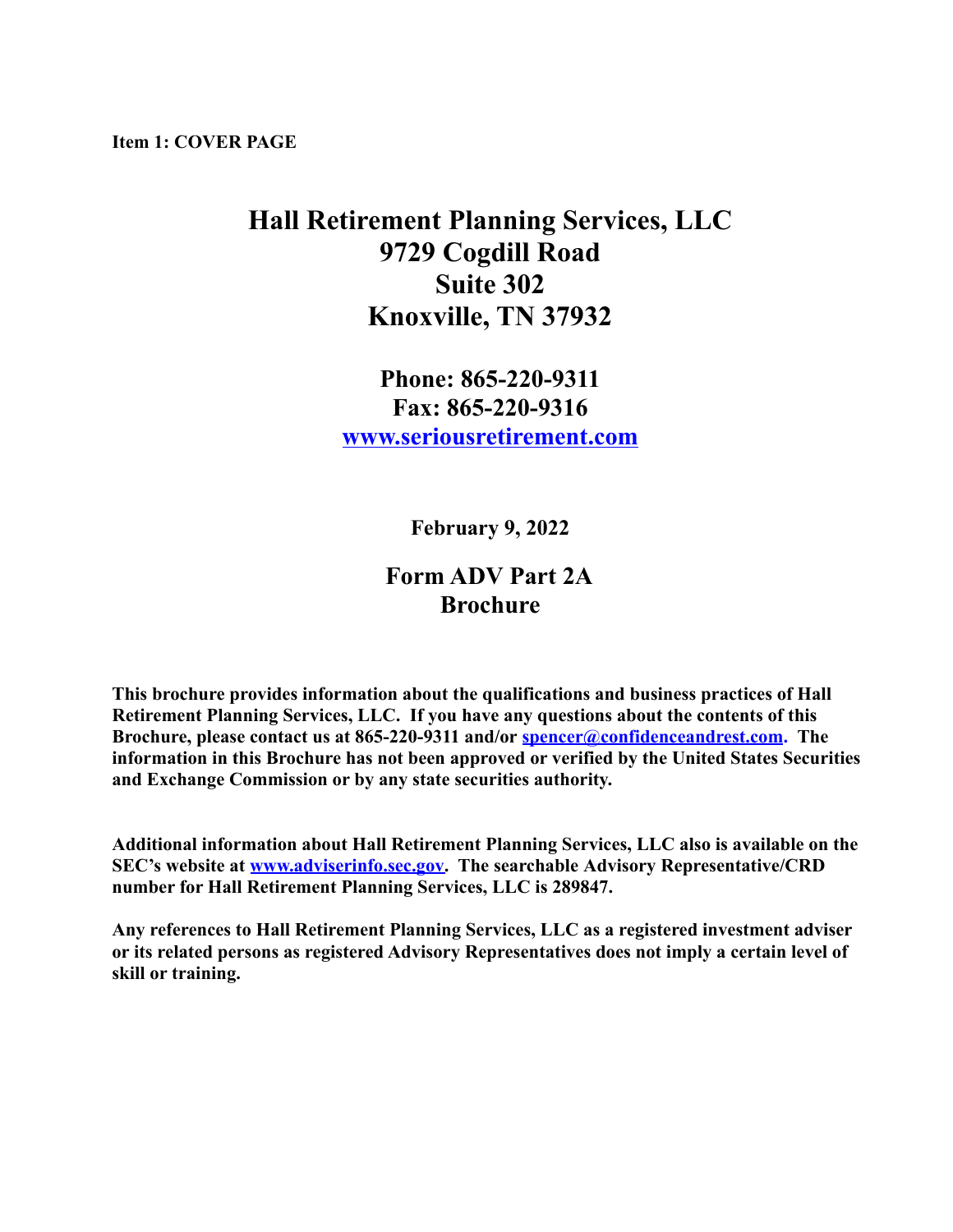<span id="page-0-0"></span>**Item 1: COVER PAGE**

# **Hall Retirement Planning Services, LLC 9729 Cogdill Road Suite 302 Knoxville, TN 37932**

## **Phone: 865-220-9311 Fax: 865-220-9316 [www.seriousretirement.com](http://www.seriousretirement.com)**

**February 9, 2022**

## **Form ADV Part 2A Brochure**

**This brochure provides information about the qualifications and business practices of Hall Retirement Planning Services, LLC. If you have any questions about the contents of this Brochure, please contact us at 865-220-9311 and/or [spencer@confidenceandrest.com](mailto:spencer@confidenceandrest.com). The information in this Brochure has not been approved or verified by the United States Securities and Exchange Commission or by any state securities authority.**

**Additional information about Hall Retirement Planning Services, LLC also is available on the SEC's website at [www.adviserinfo.sec.gov.](http://www.adviserinfo.sec.gov) The searchable Advisory Representative/CRD number for Hall Retirement Planning Services, LLC is 289847.**

**Any references to Hall Retirement Planning Services, LLC as a registered investment adviser or its related persons as registered Advisory Representatives does not imply a certain level of skill or training.**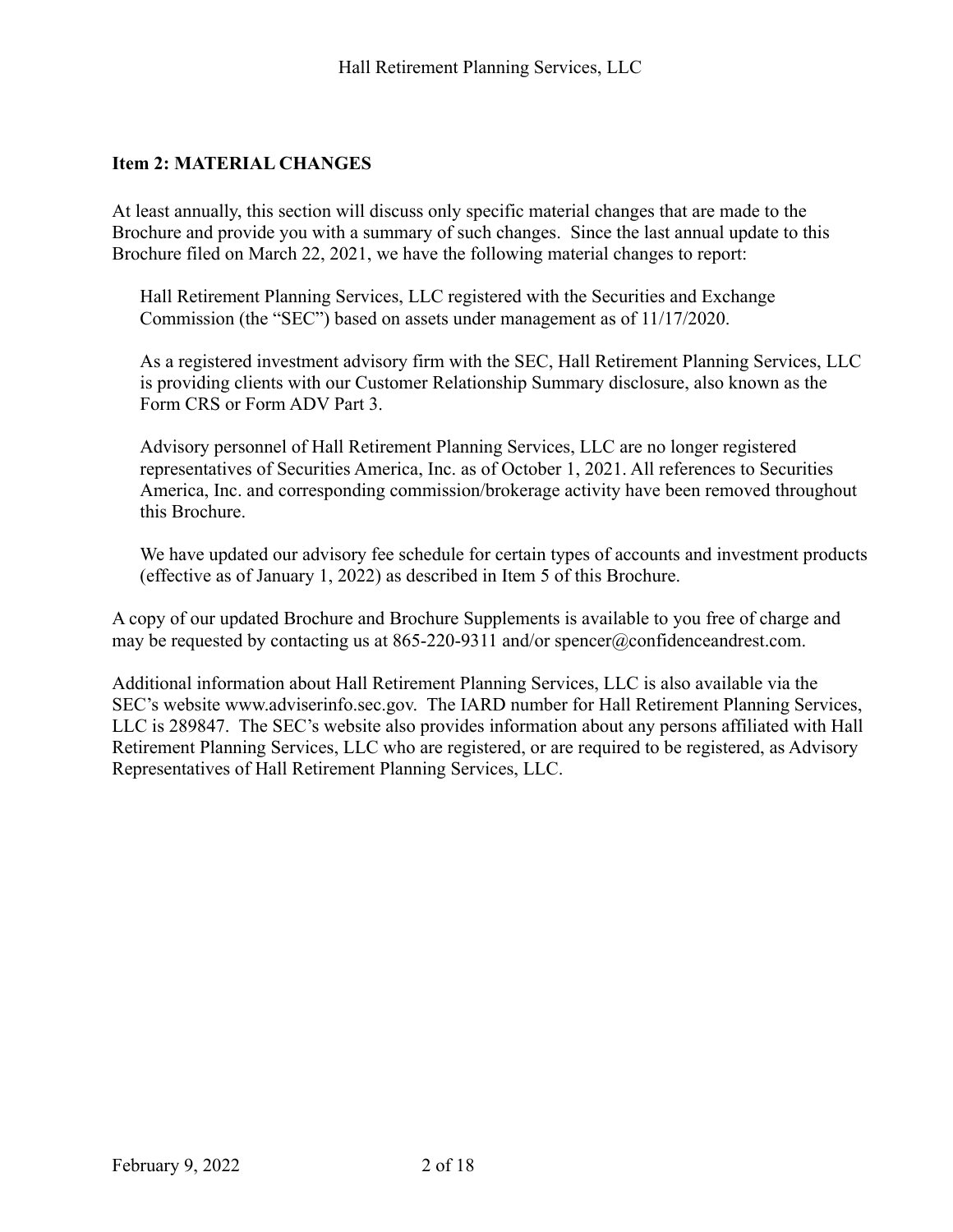#### <span id="page-1-0"></span>**Item 2: MATERIAL CHANGES**

At least annually, this section will discuss only specific material changes that are made to the Brochure and provide you with a summary of such changes. Since the last annual update to this Brochure filed on March 22, 2021, we have the following material changes to report:

Hall Retirement Planning Services, LLC registered with the Securities and Exchange Commission (the "SEC") based on assets under management as of 11/17/2020.

As a registered investment advisory firm with the SEC, Hall Retirement Planning Services, LLC is providing clients with our Customer Relationship Summary disclosure, also known as the Form CRS or Form ADV Part 3.

Advisory personnel of Hall Retirement Planning Services, LLC are no longer registered representatives of Securities America, Inc. as of October 1, 2021. All references to Securities America, Inc. and corresponding commission/brokerage activity have been removed throughout this Brochure.

We have updated our advisory fee schedule for certain types of accounts and investment products (effective as of January 1, 2022) as described in Item 5 of this Brochure.

A copy of our updated Brochure and Brochure Supplements is available to you free of charge and may be requested by contacting us at 865-220-9311 and/or spencer@confidenceandrest.com.

Additional information about Hall Retirement Planning Services, LLC is also available via the SEC's website www.adviserinfo.sec.gov. The IARD number for Hall Retirement Planning Services, LLC is 289847. The SEC's website also provides information about any persons affiliated with Hall Retirement Planning Services, LLC who are registered, or are required to be registered, as Advisory Representatives of Hall Retirement Planning Services, LLC.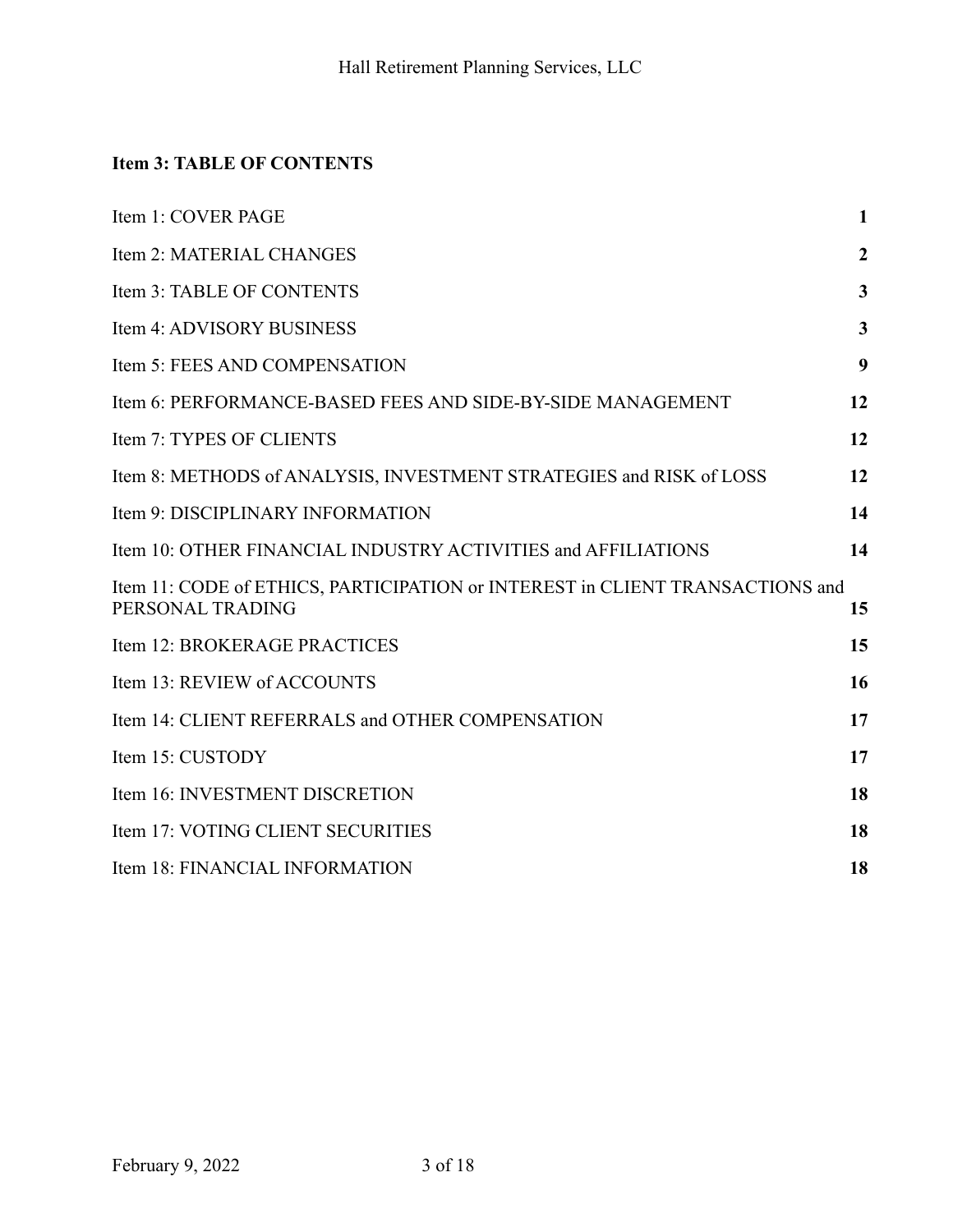## <span id="page-2-0"></span>**Item 3: TABLE OF CONTENTS**

| Item 1: COVER PAGE                                                                                | $\mathbf{1}$     |
|---------------------------------------------------------------------------------------------------|------------------|
| Item 2: MATERIAL CHANGES                                                                          | $\boldsymbol{2}$ |
| Item 3: TABLE OF CONTENTS                                                                         | 3                |
| Item 4: ADVISORY BUSINESS                                                                         | 3                |
| Item 5: FEES AND COMPENSATION                                                                     | 9                |
| Item 6: PERFORMANCE-BASED FEES AND SIDE-BY-SIDE MANAGEMENT                                        | 12               |
| Item 7: TYPES OF CLIENTS                                                                          | 12               |
| Item 8: METHODS of ANALYSIS, INVESTMENT STRATEGIES and RISK of LOSS                               | 12               |
| Item 9: DISCIPLINARY INFORMATION                                                                  | 14               |
| Item 10: OTHER FINANCIAL INDUSTRY ACTIVITIES and AFFILIATIONS                                     | 14               |
| Item 11: CODE of ETHICS, PARTICIPATION or INTEREST in CLIENT TRANSACTIONS and<br>PERSONAL TRADING | 15               |
| Item 12: BROKERAGE PRACTICES                                                                      | 15               |
| Item 13: REVIEW of ACCOUNTS                                                                       | 16               |
| Item 14: CLIENT REFERRALS and OTHER COMPENSATION                                                  | 17               |
| Item 15: CUSTODY                                                                                  | 17               |
| Item 16: INVESTMENT DISCRETION                                                                    | 18               |
| Item 17: VOTING CLIENT SECURITIES                                                                 | 18               |
| Item 18: FINANCIAL INFORMATION                                                                    | 18               |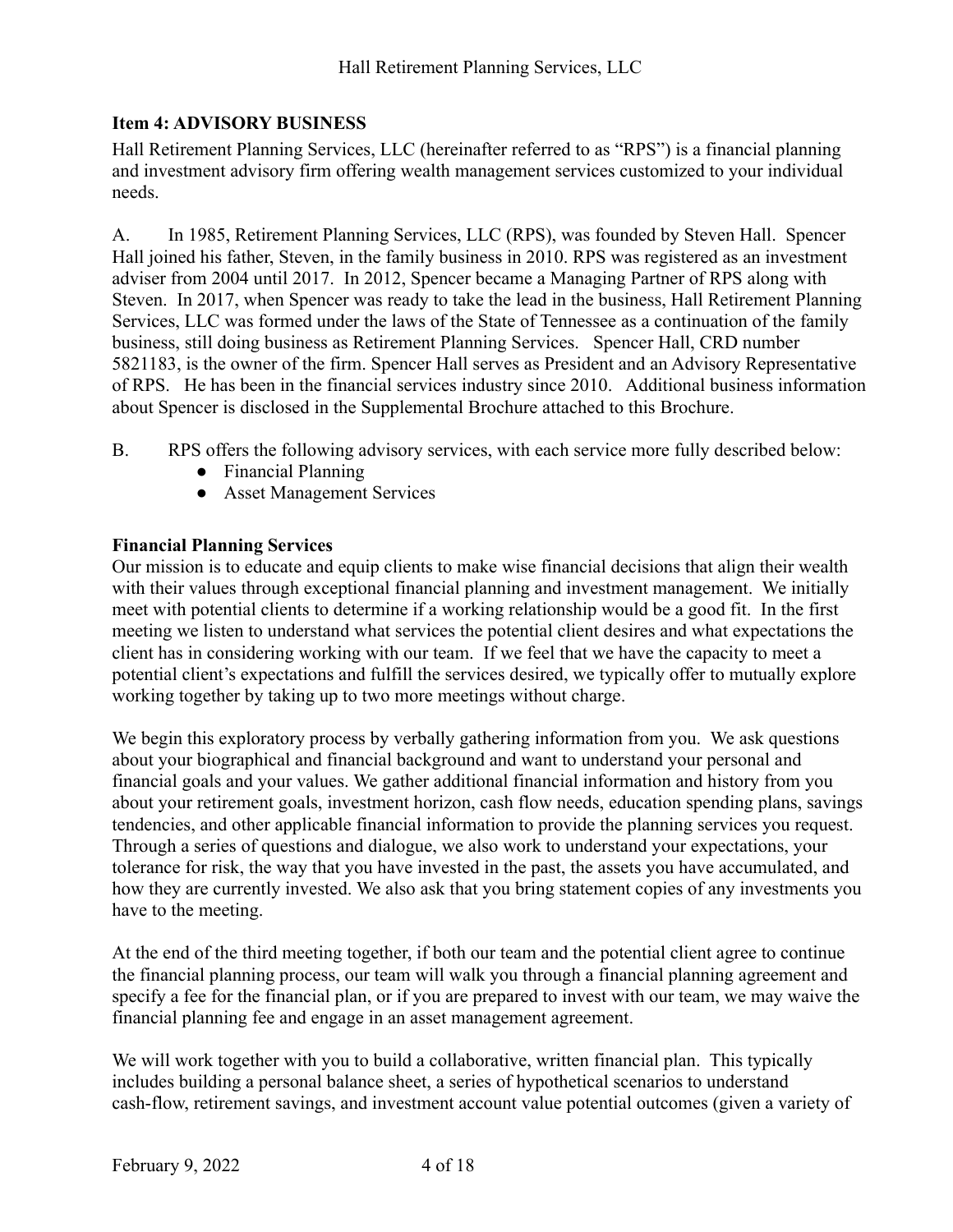## <span id="page-3-0"></span>**Item 4: ADVISORY BUSINESS**

Hall Retirement Planning Services, LLC (hereinafter referred to as "RPS") is a financial planning and investment advisory firm offering wealth management services customized to your individual needs.

A. In 1985, Retirement Planning Services, LLC (RPS), was founded by Steven Hall. Spencer Hall joined his father, Steven, in the family business in 2010. RPS was registered as an investment adviser from 2004 until 2017. In 2012, Spencer became a Managing Partner of RPS along with Steven. In 2017, when Spencer was ready to take the lead in the business, Hall Retirement Planning Services, LLC was formed under the laws of the State of Tennessee as a continuation of the family business, still doing business as Retirement Planning Services. Spencer Hall, CRD number 5821183, is the owner of the firm. Spencer Hall serves as President and an Advisory Representative of RPS. He has been in the financial services industry since 2010. Additional business information about Spencer is disclosed in the Supplemental Brochure attached to this Brochure.

- B. RPS offers the following advisory services, with each service more fully described below:
	- Financial Planning
	- Asset Management Services

#### **Financial Planning Services**

Our mission is to educate and equip clients to make wise financial decisions that align their wealth with their values through exceptional financial planning and investment management. We initially meet with potential clients to determine if a working relationship would be a good fit. In the first meeting we listen to understand what services the potential client desires and what expectations the client has in considering working with our team. If we feel that we have the capacity to meet a potential client's expectations and fulfill the services desired, we typically offer to mutually explore working together by taking up to two more meetings without charge.

We begin this exploratory process by verbally gathering information from you. We ask questions about your biographical and financial background and want to understand your personal and financial goals and your values. We gather additional financial information and history from you about your retirement goals, investment horizon, cash flow needs, education spending plans, savings tendencies, and other applicable financial information to provide the planning services you request. Through a series of questions and dialogue, we also work to understand your expectations, your tolerance for risk, the way that you have invested in the past, the assets you have accumulated, and how they are currently invested. We also ask that you bring statement copies of any investments you have to the meeting.

At the end of the third meeting together, if both our team and the potential client agree to continue the financial planning process, our team will walk you through a financial planning agreement and specify a fee for the financial plan, or if you are prepared to invest with our team, we may waive the financial planning fee and engage in an asset management agreement.

We will work together with you to build a collaborative, written financial plan. This typically includes building a personal balance sheet, a series of hypothetical scenarios to understand cash-flow, retirement savings, and investment account value potential outcomes (given a variety of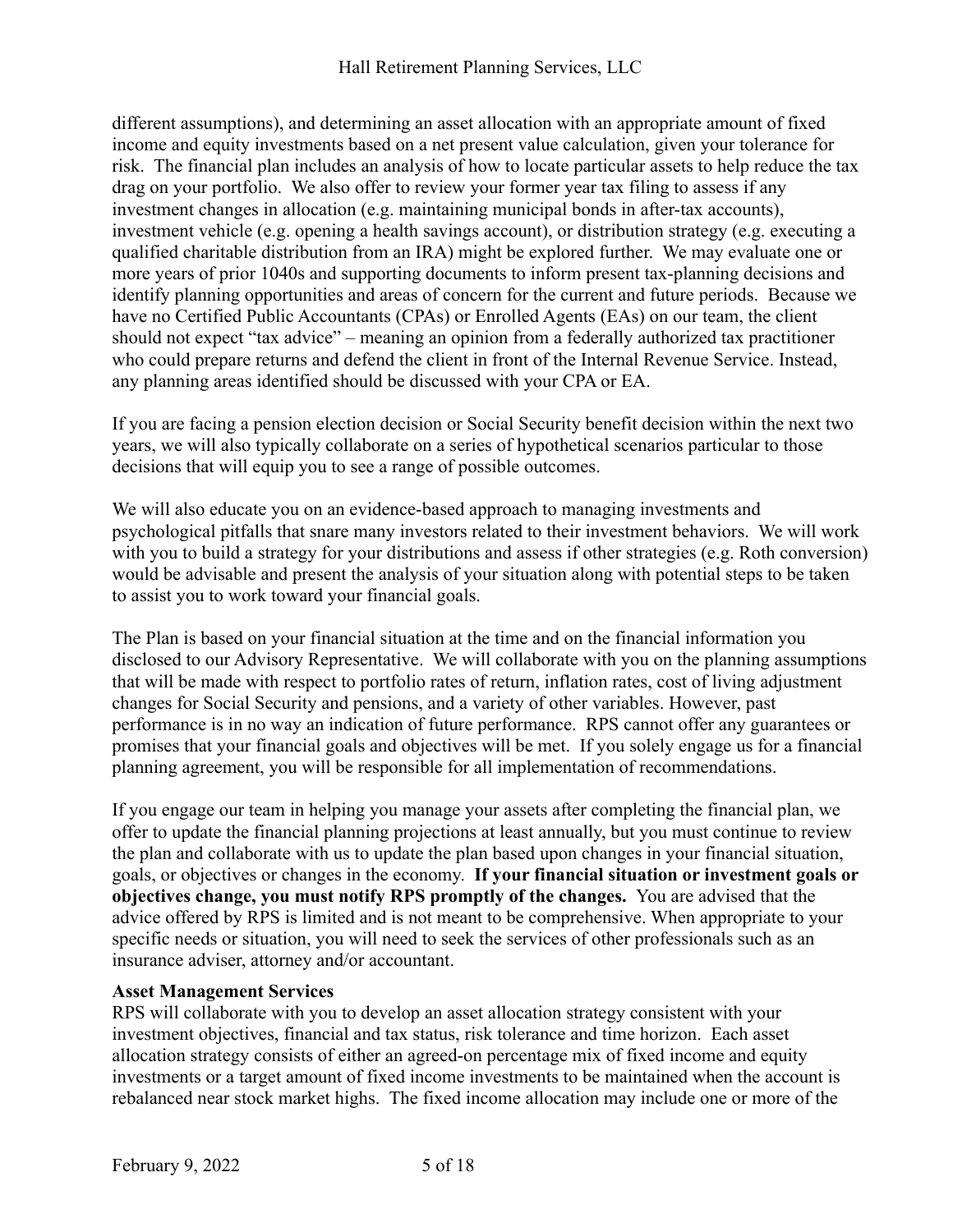different assumptions), and determining an asset allocation with an appropriate amount of fixed income and equity investments based on a net present value calculation, given your tolerance for risk. The financial plan includes an analysis of how to locate particular assets to help reduce the tax drag on your portfolio. We also offer to review your former year tax filing to assess if any investment changes in allocation (e.g. maintaining municipal bonds in after-tax accounts), investment vehicle (e.g. opening a health savings account), or distribution strategy (e.g. executing a qualified charitable distribution from an IRA) might be explored further. We may evaluate one or more years of prior 1040s and supporting documents to inform present tax-planning decisions and identify planning opportunities and areas of concern for the current and future periods. Because we have no Certified Public Accountants (CPAs) or Enrolled Agents (EAs) on our team, the client should not expect "tax advice" – meaning an opinion from a federally authorized tax practitioner who could prepare returns and defend the client in front of the Internal Revenue Service. Instead, any planning areas identified should be discussed with your CPA or EA.

If you are facing a pension election decision or Social Security benefit decision within the next two years, we will also typically collaborate on a series of hypothetical scenarios particular to those decisions that will equip you to see a range of possible outcomes.

We will also educate you on an evidence-based approach to managing investments and psychological pitfalls that snare many investors related to their investment behaviors. We will work with you to build a strategy for your distributions and assess if other strategies (e.g. Roth conversion) would be advisable and present the analysis of your situation along with potential steps to be taken to assist you to work toward your financial goals.

The Plan is based on your financial situation at the time and on the financial information you disclosed to our Advisory Representative. We will collaborate with you on the planning assumptions that will be made with respect to portfolio rates of return, inflation rates, cost of living adjustment changes for Social Security and pensions, and a variety of other variables. However, past performance is in no way an indication of future performance. RPS cannot offer any guarantees or promises that your financial goals and objectives will be met. If you solely engage us for a financial planning agreement, you will be responsible for all implementation of recommendations.

If you engage our team in helping you manage your assets after completing the financial plan, we offer to update the financial planning projections at least annually, but you must continue to review the plan and collaborate with us to update the plan based upon changes in your financial situation, goals, or objectives or changes in the economy. **If your financial situation or investment goals or objectives change, you must notify RPS promptly of the changes.** You are advised that the advice offered by RPS is limited and is not meant to be comprehensive. When appropriate to your specific needs or situation, you will need to seek the services of other professionals such as an insurance adviser, attorney and/or accountant.

#### **Asset Management Services**

RPS will collaborate with you to develop an asset allocation strategy consistent with your investment objectives, financial and tax status, risk tolerance and time horizon. Each asset allocation strategy consists of either an agreed-on percentage mix of fixed income and equity investments or a target amount of fixed income investments to be maintained when the account is rebalanced near stock market highs. The fixed income allocation may include one or more of the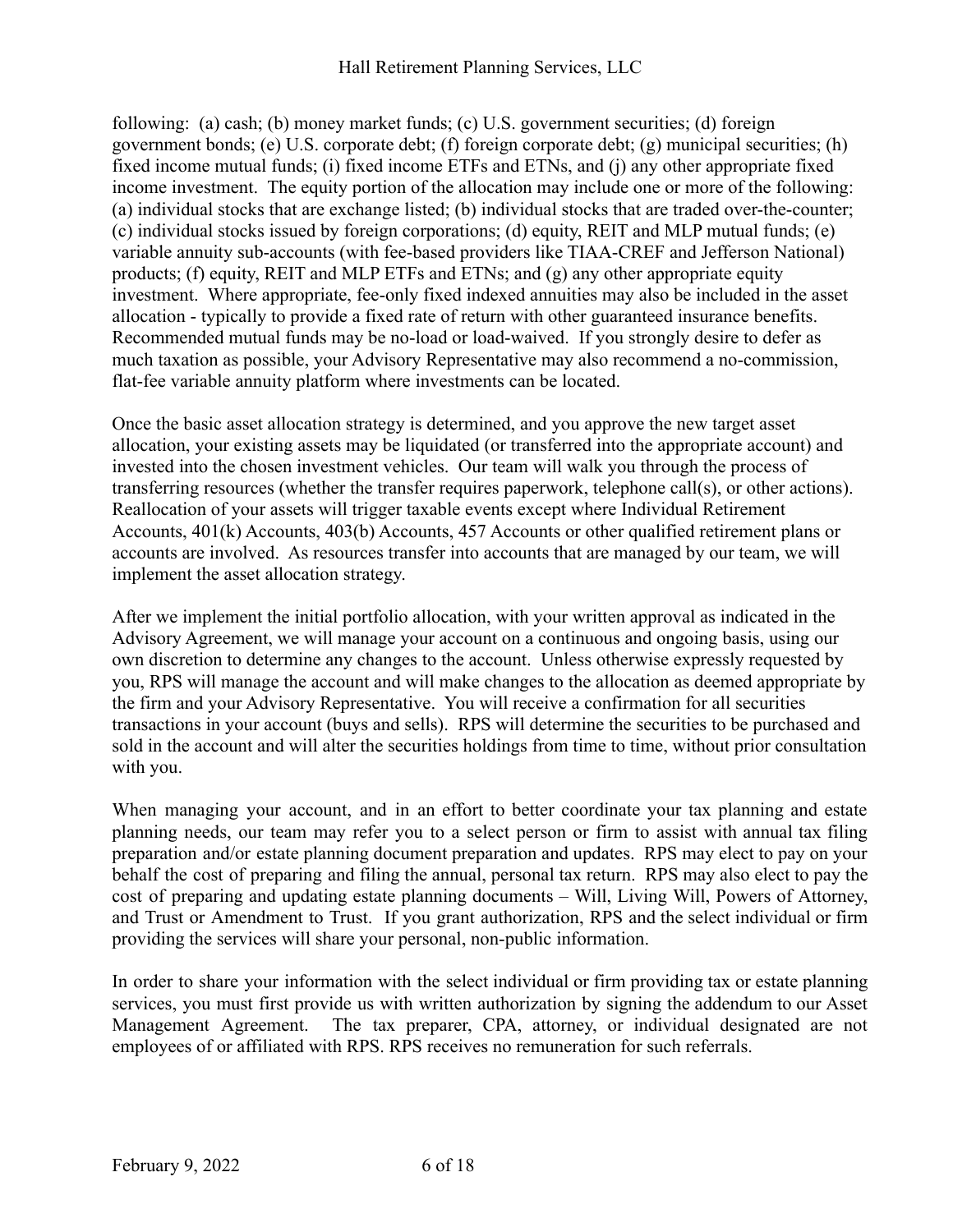following: (a) cash; (b) money market funds; (c) U.S. government securities; (d) foreign government bonds; (e) U.S. corporate debt; (f) foreign corporate debt; (g) municipal securities; (h) fixed income mutual funds; (i) fixed income ETFs and ETNs, and (j) any other appropriate fixed income investment. The equity portion of the allocation may include one or more of the following: (a) individual stocks that are exchange listed; (b) individual stocks that are traded over-the-counter; (c) individual stocks issued by foreign corporations; (d) equity, REIT and MLP mutual funds; (e) variable annuity sub-accounts (with fee-based providers like TIAA-CREF and Jefferson National) products; (f) equity, REIT and MLP ETFs and ETNs; and (g) any other appropriate equity investment. Where appropriate, fee-only fixed indexed annuities may also be included in the asset allocation - typically to provide a fixed rate of return with other guaranteed insurance benefits. Recommended mutual funds may be no-load or load-waived. If you strongly desire to defer as much taxation as possible, your Advisory Representative may also recommend a no-commission, flat-fee variable annuity platform where investments can be located.

Once the basic asset allocation strategy is determined, and you approve the new target asset allocation, your existing assets may be liquidated (or transferred into the appropriate account) and invested into the chosen investment vehicles. Our team will walk you through the process of transferring resources (whether the transfer requires paperwork, telephone call(s), or other actions). Reallocation of your assets will trigger taxable events except where Individual Retirement Accounts, 401(k) Accounts, 403(b) Accounts, 457 Accounts or other qualified retirement plans or accounts are involved. As resources transfer into accounts that are managed by our team, we will implement the asset allocation strategy.

After we implement the initial portfolio allocation, with your written approval as indicated in the Advisory Agreement, we will manage your account on a continuous and ongoing basis, using our own discretion to determine any changes to the account. Unless otherwise expressly requested by you, RPS will manage the account and will make changes to the allocation as deemed appropriate by the firm and your Advisory Representative. You will receive a confirmation for all securities transactions in your account (buys and sells). RPS will determine the securities to be purchased and sold in the account and will alter the securities holdings from time to time, without prior consultation with you.

When managing your account, and in an effort to better coordinate your tax planning and estate planning needs, our team may refer you to a select person or firm to assist with annual tax filing preparation and/or estate planning document preparation and updates. RPS may elect to pay on your behalf the cost of preparing and filing the annual, personal tax return. RPS may also elect to pay the cost of preparing and updating estate planning documents – Will, Living Will, Powers of Attorney, and Trust or Amendment to Trust. If you grant authorization, RPS and the select individual or firm providing the services will share your personal, non-public information.

In order to share your information with the select individual or firm providing tax or estate planning services, you must first provide us with written authorization by signing the addendum to our Asset Management Agreement. The tax preparer, CPA, attorney, or individual designated are not employees of or affiliated with RPS. RPS receives no remuneration for such referrals.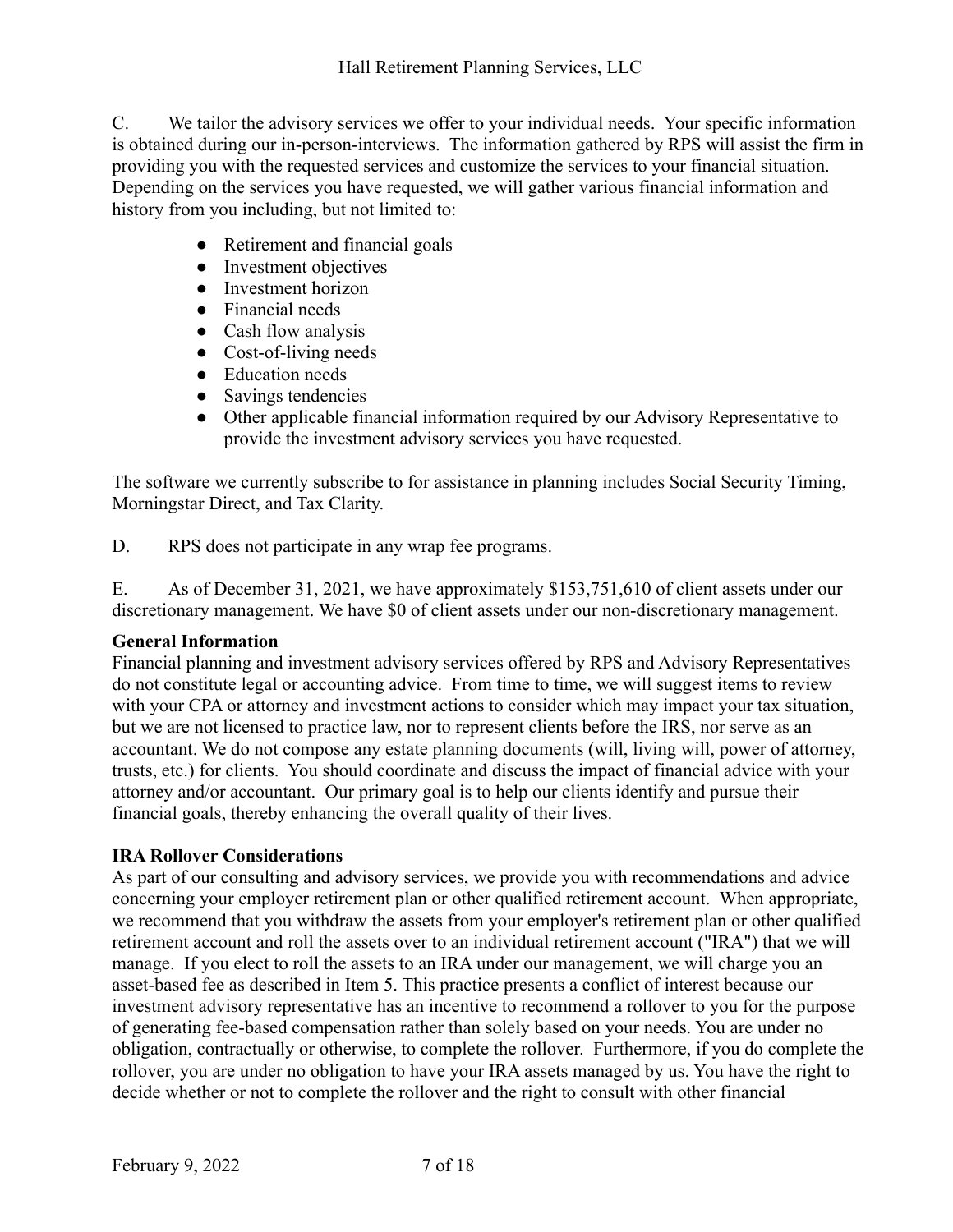C. We tailor the advisory services we offer to your individual needs. Your specific information is obtained during our in-person-interviews. The information gathered by RPS will assist the firm in providing you with the requested services and customize the services to your financial situation. Depending on the services you have requested, we will gather various financial information and history from you including, but not limited to:

- Retirement and financial goals
- Investment objectives
- Investment horizon
- Financial needs
- Cash flow analysis
- Cost-of-living needs
- Education needs
- Savings tendencies
- Other applicable financial information required by our Advisory Representative to provide the investment advisory services you have requested.

The software we currently subscribe to for assistance in planning includes Social Security Timing, Morningstar Direct, and Tax Clarity.

D. RPS does not participate in any wrap fee programs.

E. As of December 31, 2021, we have approximately \$153,751,610 of client assets under our discretionary management. We have \$0 of client assets under our non-discretionary management.

#### **General Information**

Financial planning and investment advisory services offered by RPS and Advisory Representatives do not constitute legal or accounting advice. From time to time, we will suggest items to review with your CPA or attorney and investment actions to consider which may impact your tax situation, but we are not licensed to practice law, nor to represent clients before the IRS, nor serve as an accountant. We do not compose any estate planning documents (will, living will, power of attorney, trusts, etc.) for clients. You should coordinate and discuss the impact of financial advice with your attorney and/or accountant. Our primary goal is to help our clients identify and pursue their financial goals, thereby enhancing the overall quality of their lives.

#### **IRA Rollover Considerations**

As part of our consulting and advisory services, we provide you with recommendations and advice concerning your employer retirement plan or other qualified retirement account. When appropriate, we recommend that you withdraw the assets from your employer's retirement plan or other qualified retirement account and roll the assets over to an individual retirement account ("IRA") that we will manage. If you elect to roll the assets to an IRA under our management, we will charge you an asset-based fee as described in Item 5. This practice presents a conflict of interest because our investment advisory representative has an incentive to recommend a rollover to you for the purpose of generating fee-based compensation rather than solely based on your needs. You are under no obligation, contractually or otherwise, to complete the rollover. Furthermore, if you do complete the rollover, you are under no obligation to have your IRA assets managed by us. You have the right to decide whether or not to complete the rollover and the right to consult with other financial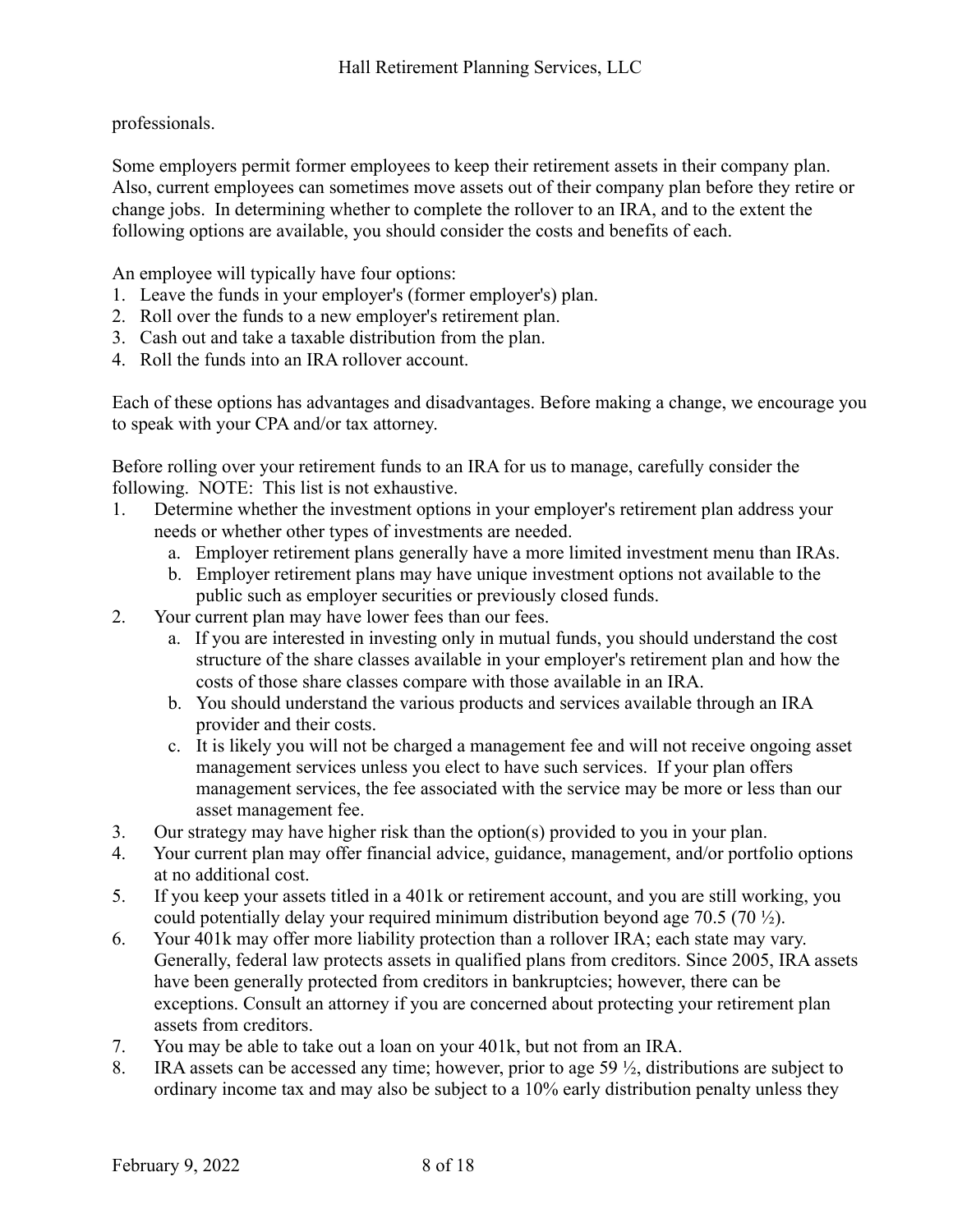professionals.

Some employers permit former employees to keep their retirement assets in their company plan. Also, current employees can sometimes move assets out of their company plan before they retire or change jobs. In determining whether to complete the rollover to an IRA, and to the extent the following options are available, you should consider the costs and benefits of each.

An employee will typically have four options:

- 1. Leave the funds in your employer's (former employer's) plan.
- 2. Roll over the funds to a new employer's retirement plan.
- 3. Cash out and take a taxable distribution from the plan.
- 4. Roll the funds into an IRA rollover account.

Each of these options has advantages and disadvantages. Before making a change, we encourage you to speak with your CPA and/or tax attorney.

Before rolling over your retirement funds to an IRA for us to manage, carefully consider the following. NOTE: This list is not exhaustive.

- 1. Determine whether the investment options in your employer's retirement plan address your needs or whether other types of investments are needed.
	- a. Employer retirement plans generally have a more limited investment menu than IRAs.
	- b. Employer retirement plans may have unique investment options not available to the public such as employer securities or previously closed funds.
- 2. Your current plan may have lower fees than our fees.
	- a. If you are interested in investing only in mutual funds, you should understand the cost structure of the share classes available in your employer's retirement plan and how the costs of those share classes compare with those available in an IRA.
	- b. You should understand the various products and services available through an IRA provider and their costs.
	- c. It is likely you will not be charged a management fee and will not receive ongoing asset management services unless you elect to have such services. If your plan offers management services, the fee associated with the service may be more or less than our asset management fee.
- 3. Our strategy may have higher risk than the option(s) provided to you in your plan.
- 4. Your current plan may offer financial advice, guidance, management, and/or portfolio options at no additional cost.
- 5. If you keep your assets titled in a 401k or retirement account, and you are still working, you could potentially delay your required minimum distribution beyond age 70.5 (70 ½).
- 6. Your 401k may offer more liability protection than a rollover IRA; each state may vary. Generally, federal law protects assets in qualified plans from creditors. Since 2005, IRA assets have been generally protected from creditors in bankruptcies; however, there can be exceptions. Consult an attorney if you are concerned about protecting your retirement plan assets from creditors.
- 7. You may be able to take out a loan on your 401k, but not from an IRA.
- 8. IRA assets can be accessed any time; however, prior to age 59 ½, distributions are subject to ordinary income tax and may also be subject to a 10% early distribution penalty unless they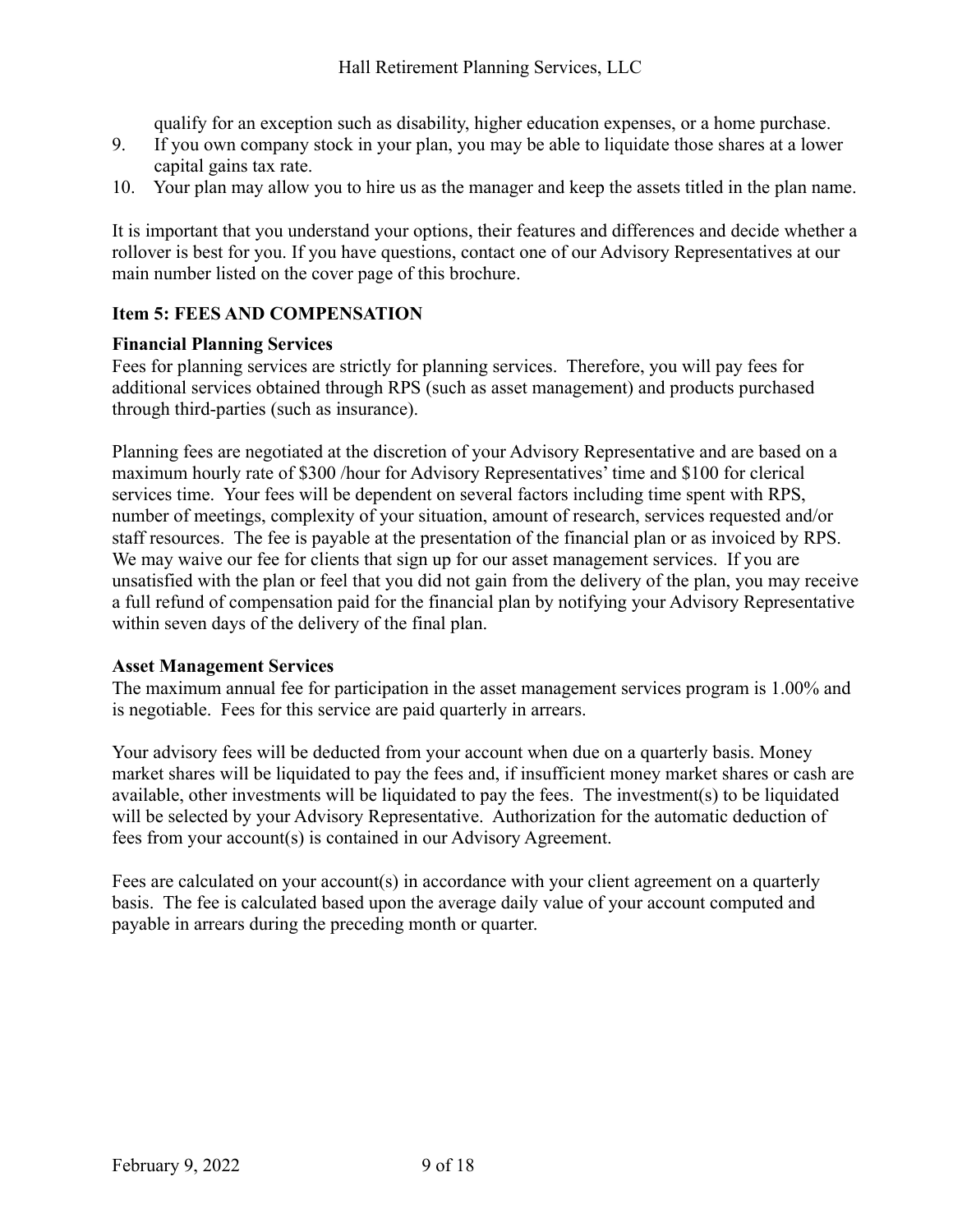qualify for an exception such as disability, higher education expenses, or a home purchase.

- 9. If you own company stock in your plan, you may be able to liquidate those shares at a lower capital gains tax rate.
- 10. Your plan may allow you to hire us as the manager and keep the assets titled in the plan name.

It is important that you understand your options, their features and differences and decide whether a rollover is best for you. If you have questions, contact one of our Advisory Representatives at our main number listed on the cover page of this brochure.

#### <span id="page-8-0"></span>**Item 5: FEES AND COMPENSATION**

#### **Financial Planning Services**

Fees for planning services are strictly for planning services. Therefore, you will pay fees for additional services obtained through RPS (such as asset management) and products purchased through third-parties (such as insurance).

Planning fees are negotiated at the discretion of your Advisory Representative and are based on a maximum hourly rate of \$300 /hour for Advisory Representatives' time and \$100 for clerical services time. Your fees will be dependent on several factors including time spent with RPS, number of meetings, complexity of your situation, amount of research, services requested and/or staff resources. The fee is payable at the presentation of the financial plan or as invoiced by RPS. We may waive our fee for clients that sign up for our asset management services. If you are unsatisfied with the plan or feel that you did not gain from the delivery of the plan, you may receive a full refund of compensation paid for the financial plan by notifying your Advisory Representative within seven days of the delivery of the final plan.

#### **Asset Management Services**

The maximum annual fee for participation in the asset management services program is 1.00% and is negotiable. Fees for this service are paid quarterly in arrears.

Your advisory fees will be deducted from your account when due on a quarterly basis. Money market shares will be liquidated to pay the fees and, if insufficient money market shares or cash are available, other investments will be liquidated to pay the fees. The investment(s) to be liquidated will be selected by your Advisory Representative. Authorization for the automatic deduction of fees from your account(s) is contained in our Advisory Agreement.

Fees are calculated on your account(s) in accordance with your client agreement on a quarterly basis. The fee is calculated based upon the average daily value of your account computed and payable in arrears during the preceding month or quarter.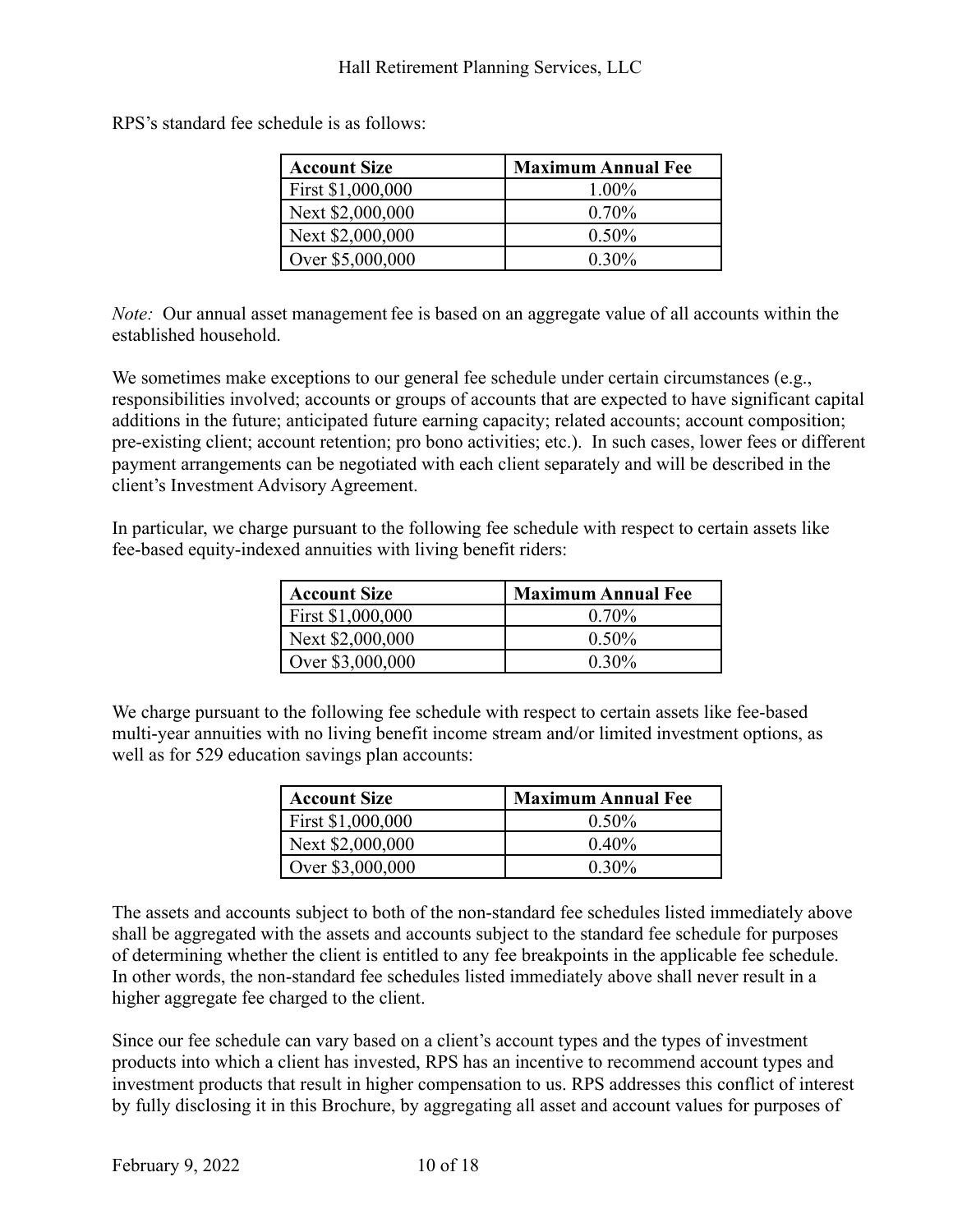RPS's standard fee schedule is as follows:

| <b>Account Size</b> | <b>Maximum Annual Fee</b> |
|---------------------|---------------------------|
| First \$1,000,000   | 1.00%                     |
| Next \$2,000,000    | $0.70\%$                  |
| Next \$2,000,000    | $0.50\%$                  |
| Over \$5,000,000    | $0.30\%$                  |

*Note:* Our annual asset management fee is based on an aggregate value of all accounts within the established household.

We sometimes make exceptions to our general fee schedule under certain circumstances (e.g., responsibilities involved; accounts or groups of accounts that are expected to have significant capital additions in the future; anticipated future earning capacity; related accounts; account composition; pre-existing client; account retention; pro bono activities; etc.). In such cases, lower fees or different payment arrangements can be negotiated with each client separately and will be described in the client's Investment Advisory Agreement.

In particular, we charge pursuant to the following fee schedule with respect to certain assets like fee-based equity-indexed annuities with living benefit riders:

| <b>Account Size</b> | <b>Maximum Annual Fee</b> |
|---------------------|---------------------------|
| First \$1,000,000   | $0.70\%$                  |
| Next \$2,000,000    | $0.50\%$                  |
| Over \$3,000,000    | $0.30\%$                  |

We charge pursuant to the following fee schedule with respect to certain assets like fee-based multi-year annuities with no living benefit income stream and/or limited investment options, as well as for 529 education savings plan accounts:

| Account Size      | <b>Maximum Annual Fee</b> |
|-------------------|---------------------------|
| First \$1,000,000 | $0.50\%$                  |
| Next \$2,000,000  | $0.40\%$                  |
| Over \$3,000,000  | $0.30\%$                  |

The assets and accounts subject to both of the non-standard fee schedules listed immediately above shall be aggregated with the assets and accounts subject to the standard fee schedule for purposes of determining whether the client is entitled to any fee breakpoints in the applicable fee schedule. In other words, the non-standard fee schedules listed immediately above shall never result in a higher aggregate fee charged to the client.

Since our fee schedule can vary based on a client's account types and the types of investment products into which a client has invested, RPS has an incentive to recommend account types and investment products that result in higher compensation to us. RPS addresses this conflict of interest by fully disclosing it in this Brochure, by aggregating all asset and account values for purposes of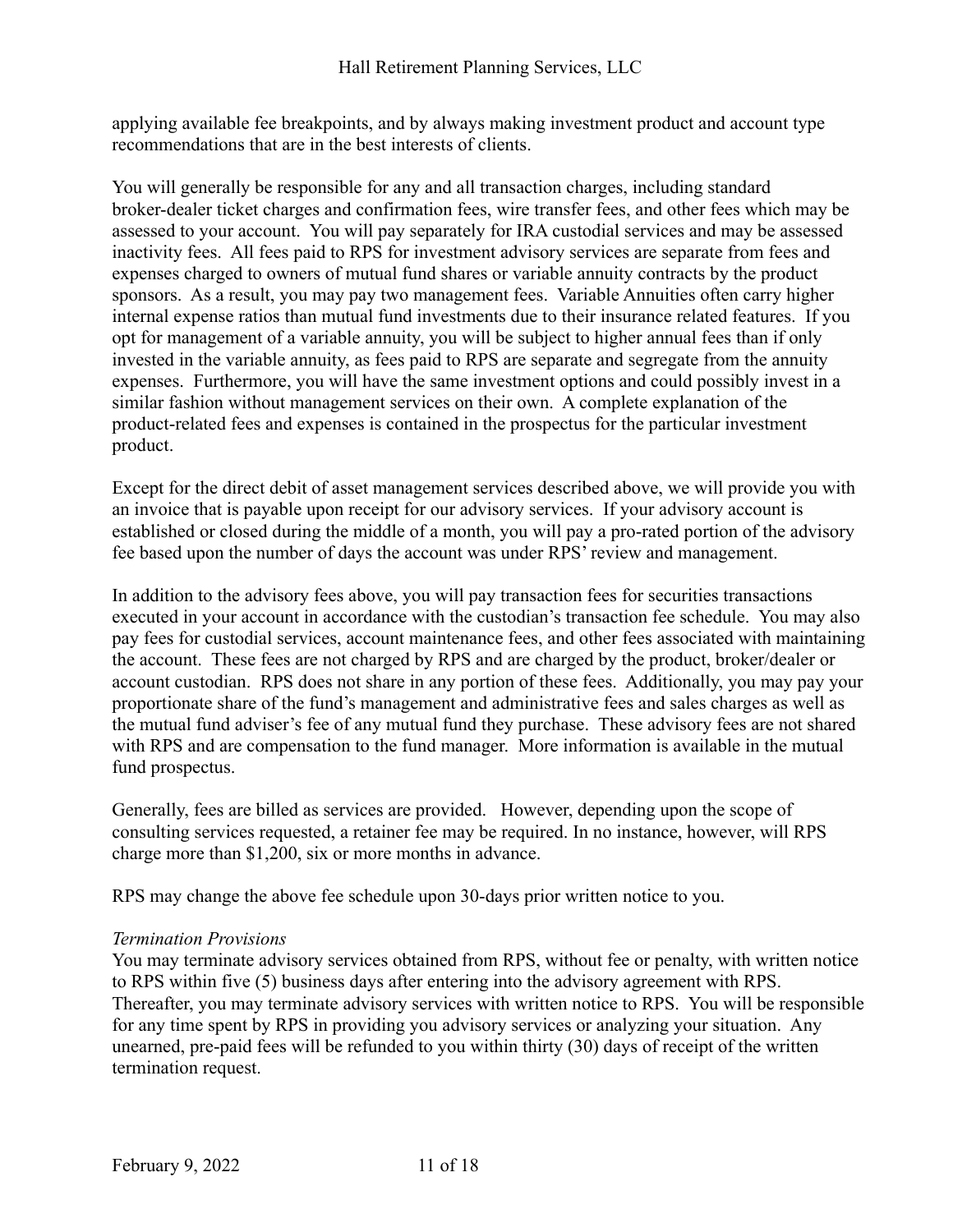applying available fee breakpoints, and by always making investment product and account type recommendations that are in the best interests of clients.

You will generally be responsible for any and all transaction charges, including standard broker-dealer ticket charges and confirmation fees, wire transfer fees, and other fees which may be assessed to your account. You will pay separately for IRA custodial services and may be assessed inactivity fees. All fees paid to RPS for investment advisory services are separate from fees and expenses charged to owners of mutual fund shares or variable annuity contracts by the product sponsors. As a result, you may pay two management fees. Variable Annuities often carry higher internal expense ratios than mutual fund investments due to their insurance related features. If you opt for management of a variable annuity, you will be subject to higher annual fees than if only invested in the variable annuity, as fees paid to RPS are separate and segregate from the annuity expenses. Furthermore, you will have the same investment options and could possibly invest in a similar fashion without management services on their own. A complete explanation of the product-related fees and expenses is contained in the prospectus for the particular investment product.

Except for the direct debit of asset management services described above, we will provide you with an invoice that is payable upon receipt for our advisory services. If your advisory account is established or closed during the middle of a month, you will pay a pro-rated portion of the advisory fee based upon the number of days the account was under RPS' review and management.

In addition to the advisory fees above, you will pay transaction fees for securities transactions executed in your account in accordance with the custodian's transaction fee schedule. You may also pay fees for custodial services, account maintenance fees, and other fees associated with maintaining the account. These fees are not charged by RPS and are charged by the product, broker/dealer or account custodian. RPS does not share in any portion of these fees. Additionally, you may pay your proportionate share of the fund's management and administrative fees and sales charges as well as the mutual fund adviser's fee of any mutual fund they purchase. These advisory fees are not shared with RPS and are compensation to the fund manager. More information is available in the mutual fund prospectus.

Generally, fees are billed as services are provided. However, depending upon the scope of consulting services requested, a retainer fee may be required. In no instance, however, will RPS charge more than \$1,200, six or more months in advance.

RPS may change the above fee schedule upon 30-days prior written notice to you.

#### *Termination Provisions*

You may terminate advisory services obtained from RPS, without fee or penalty, with written notice to RPS within five (5) business days after entering into the advisory agreement with RPS. Thereafter, you may terminate advisory services with written notice to RPS. You will be responsible for any time spent by RPS in providing you advisory services or analyzing your situation. Any unearned, pre-paid fees will be refunded to you within thirty (30) days of receipt of the written termination request.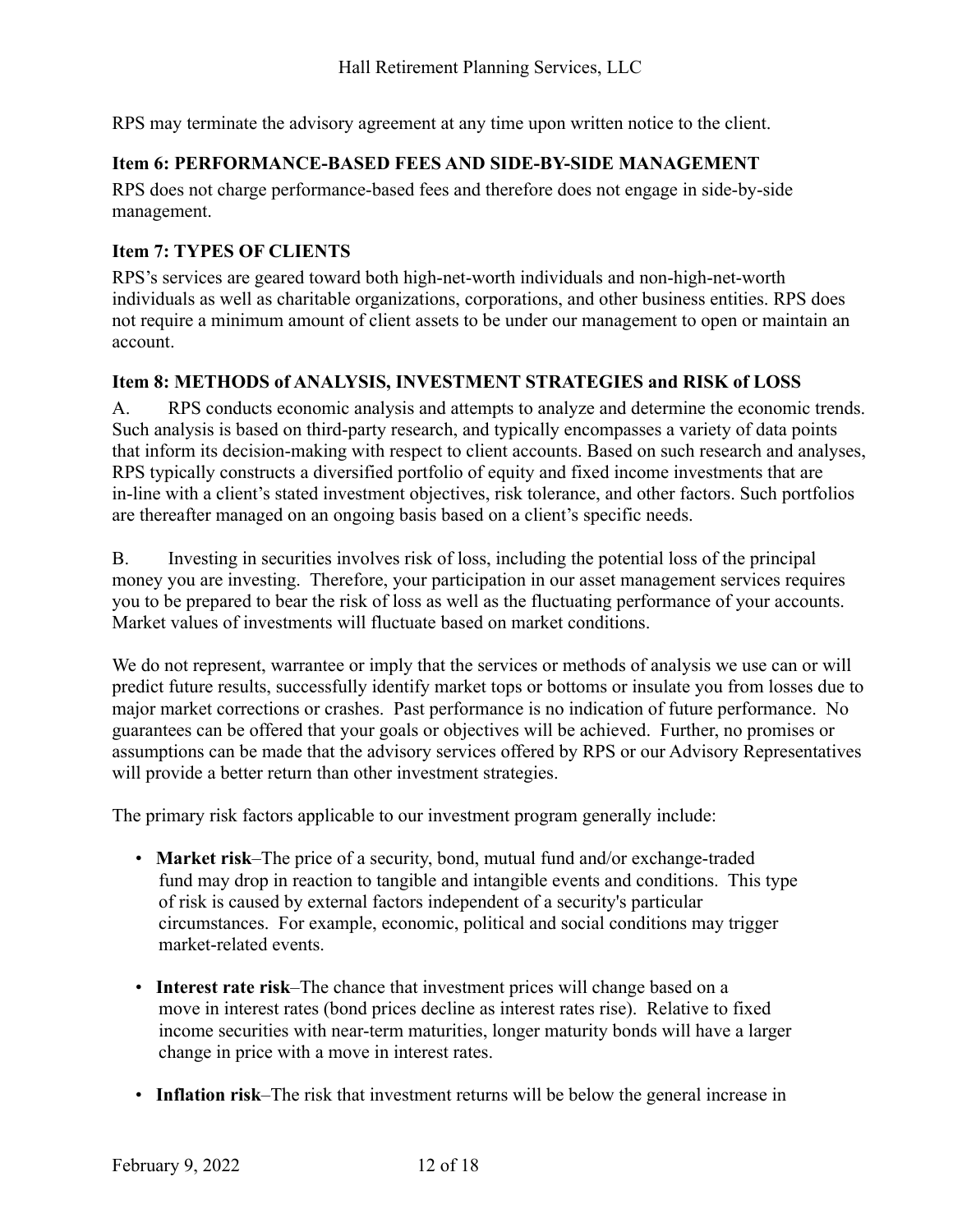RPS may terminate the advisory agreement at any time upon written notice to the client.

## <span id="page-11-0"></span>**Item 6: PERFORMANCE-BASED FEES AND SIDE-BY-SIDE MANAGEMENT**

RPS does not charge performance-based fees and therefore does not engage in side-by-side management.

## <span id="page-11-1"></span>**Item 7: TYPES OF CLIENTS**

RPS's services are geared toward both high-net-worth individuals and non-high-net-worth individuals as well as charitable organizations, corporations, and other business entities. RPS does not require a minimum amount of client assets to be under our management to open or maintain an account.

## <span id="page-11-2"></span>**Item 8: METHODS of ANALYSIS, INVESTMENT STRATEGIES and RISK of LOSS**

A. RPS conducts economic analysis and attempts to analyze and determine the economic trends. Such analysis is based on third-party research, and typically encompasses a variety of data points that inform its decision-making with respect to client accounts. Based on such research and analyses, RPS typically constructs a diversified portfolio of equity and fixed income investments that are in-line with a client's stated investment objectives, risk tolerance, and other factors. Such portfolios are thereafter managed on an ongoing basis based on a client's specific needs.

B. Investing in securities involves risk of loss, including the potential loss of the principal money you are investing. Therefore, your participation in our asset management services requires you to be prepared to bear the risk of loss as well as the fluctuating performance of your accounts. Market values of investments will fluctuate based on market conditions.

We do not represent, warrantee or imply that the services or methods of analysis we use can or will predict future results, successfully identify market tops or bottoms or insulate you from losses due to major market corrections or crashes. Past performance is no indication of future performance. No guarantees can be offered that your goals or objectives will be achieved. Further, no promises or assumptions can be made that the advisory services offered by RPS or our Advisory Representatives will provide a better return than other investment strategies.

The primary risk factors applicable to our investment program generally include:

- **Market risk**–The price of a security, bond, mutual fund and/or exchange-traded fund may drop in reaction to tangible and intangible events and conditions. This type of risk is caused by external factors independent of a security's particular circumstances. For example, economic, political and social conditions may trigger market-related events.
- **Interest rate risk**–The chance that investment prices will change based on a move in interest rates (bond prices decline as interest rates rise). Relative to fixed income securities with near-term maturities, longer maturity bonds will have a larger change in price with a move in interest rates.
- **Inflation risk**–The risk that investment returns will be below the general increase in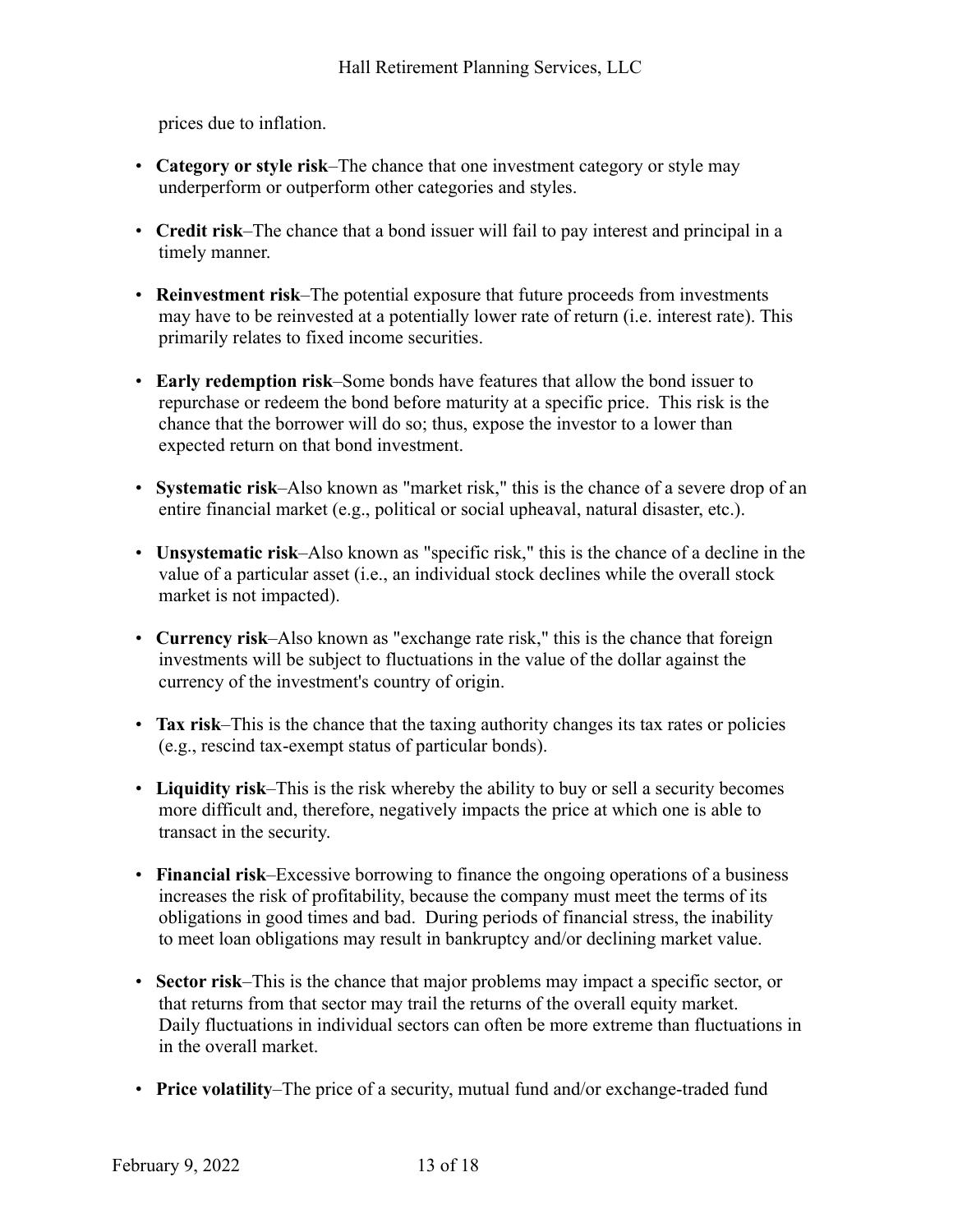prices due to inflation.

- **Category or style risk**–The chance that one investment category or style may underperform or outperform other categories and styles.
- **Credit risk**–The chance that a bond issuer will fail to pay interest and principal in a timely manner.
- **Reinvestment risk**–The potential exposure that future proceeds from investments may have to be reinvested at a potentially lower rate of return (i.e. interest rate). This primarily relates to fixed income securities.
- **Early redemption risk**–Some bonds have features that allow the bond issuer to repurchase or redeem the bond before maturity at a specific price. This risk is the chance that the borrower will do so; thus, expose the investor to a lower than expected return on that bond investment.
- **Systematic risk**–Also known as "market risk," this is the chance of a severe drop of an entire financial market (e.g., political or social upheaval, natural disaster, etc.).
- **Unsystematic risk**–Also known as "specific risk," this is the chance of a decline in the value of a particular asset (i.e., an individual stock declines while the overall stock market is not impacted).
- **Currency risk**–Also known as "exchange rate risk," this is the chance that foreign investments will be subject to fluctuations in the value of the dollar against the currency of the investment's country of origin.
- **Tax risk**–This is the chance that the taxing authority changes its tax rates or policies (e.g., rescind tax-exempt status of particular bonds).
- **Liquidity risk**–This is the risk whereby the ability to buy or sell a security becomes more difficult and, therefore, negatively impacts the price at which one is able to transact in the security.
- **Financial risk**–Excessive borrowing to finance the ongoing operations of a business increases the risk of profitability, because the company must meet the terms of its obligations in good times and bad. During periods of financial stress, the inability to meet loan obligations may result in bankruptcy and/or declining market value.
- **Sector risk**–This is the chance that major problems may impact a specific sector, or that returns from that sector may trail the returns of the overall equity market. Daily fluctuations in individual sectors can often be more extreme than fluctuations in in the overall market.
- **Price volatility**–The price of a security, mutual fund and/or exchange-traded fund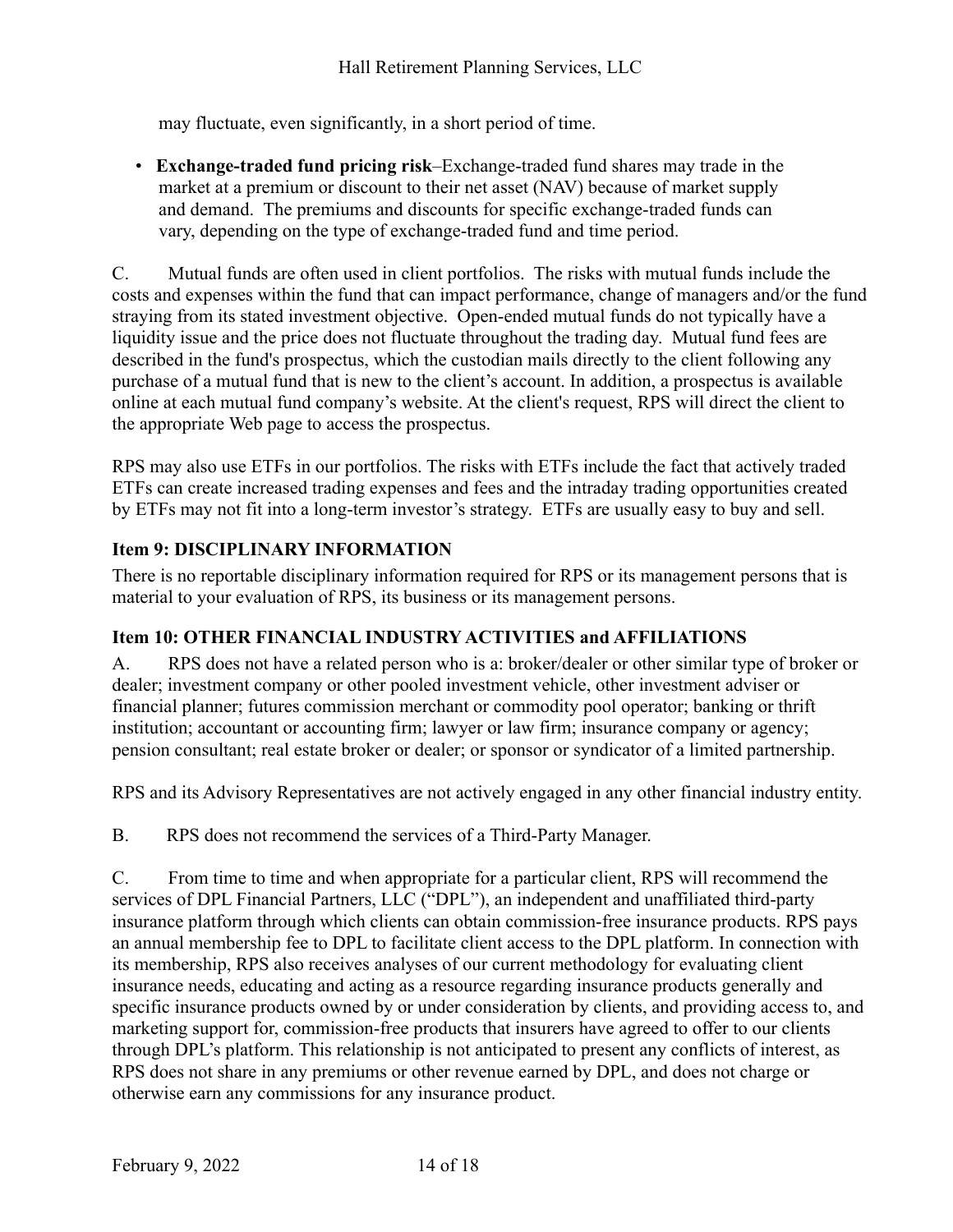may fluctuate, even significantly, in a short period of time.

• **Exchange-traded fund pricing risk**–Exchange-traded fund shares may trade in the market at a premium or discount to their net asset (NAV) because of market supply and demand. The premiums and discounts for specific exchange-traded funds can vary, depending on the type of exchange-traded fund and time period.

C. Mutual funds are often used in client portfolios. The risks with mutual funds include the costs and expenses within the fund that can impact performance, change of managers and/or the fund straying from its stated investment objective. Open-ended mutual funds do not typically have a liquidity issue and the price does not fluctuate throughout the trading day. Mutual fund fees are described in the fund's prospectus, which the custodian mails directly to the client following any purchase of a mutual fund that is new to the client's account. In addition, a prospectus is available online at each mutual fund company's website. At the client's request, RPS will direct the client to the appropriate Web page to access the prospectus.

RPS may also use ETFs in our portfolios. The risks with ETFs include the fact that actively traded ETFs can create increased trading expenses and fees and the intraday trading opportunities created by ETFs may not fit into a long-term investor's strategy. ETFs are usually easy to buy and sell.

## <span id="page-13-0"></span>**Item 9: DISCIPLINARY INFORMATION**

There is no reportable disciplinary information required for RPS or its management persons that is material to your evaluation of RPS, its business or its management persons.

## <span id="page-13-1"></span>**Item 10: OTHER FINANCIAL INDUSTRY ACTIVITIES and AFFILIATIONS**

A. RPS does not have a related person who is a: broker/dealer or other similar type of broker or dealer; investment company or other pooled investment vehicle, other investment adviser or financial planner; futures commission merchant or commodity pool operator; banking or thrift institution; accountant or accounting firm; lawyer or law firm; insurance company or agency; pension consultant; real estate broker or dealer; or sponsor or syndicator of a limited partnership.

RPS and its Advisory Representatives are not actively engaged in any other financial industry entity.

B. RPS does not recommend the services of a Third-Party Manager.

C. From time to time and when appropriate for a particular client, RPS will recommend the services of DPL Financial Partners, LLC ("DPL"), an independent and unaffiliated third-party insurance platform through which clients can obtain commission-free insurance products. RPS pays an annual membership fee to DPL to facilitate client access to the DPL platform. In connection with its membership, RPS also receives analyses of our current methodology for evaluating client insurance needs, educating and acting as a resource regarding insurance products generally and specific insurance products owned by or under consideration by clients, and providing access to, and marketing support for, commission-free products that insurers have agreed to offer to our clients through DPL's platform. This relationship is not anticipated to present any conflicts of interest, as RPS does not share in any premiums or other revenue earned by DPL, and does not charge or otherwise earn any commissions for any insurance product.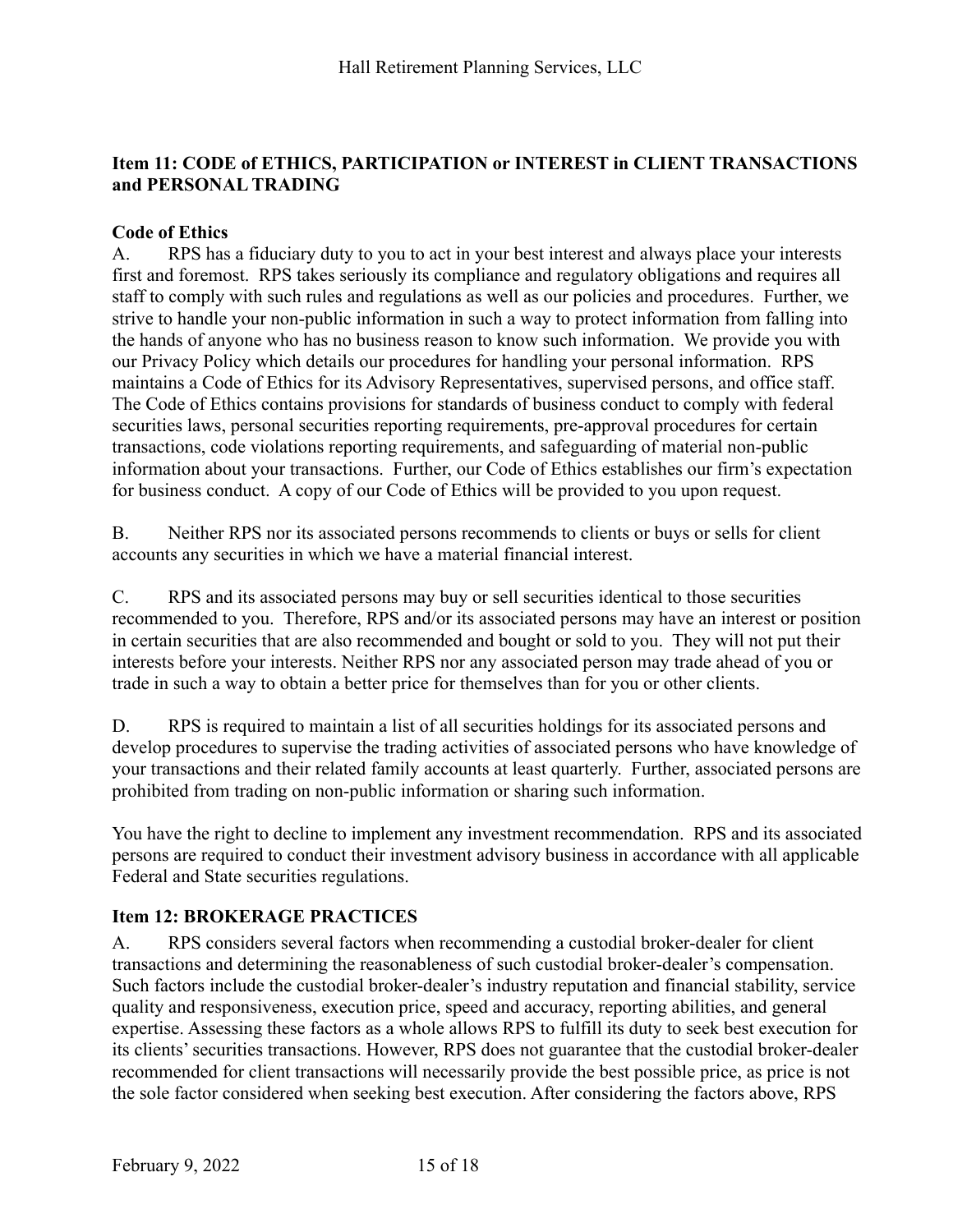## <span id="page-14-0"></span>**Item 11: CODE of ETHICS, PARTICIPATION or INTEREST in CLIENT TRANSACTIONS and PERSONAL TRADING**

#### **Code of Ethics**

A. RPS has a fiduciary duty to you to act in your best interest and always place your interests first and foremost. RPS takes seriously its compliance and regulatory obligations and requires all staff to comply with such rules and regulations as well as our policies and procedures. Further, we strive to handle your non-public information in such a way to protect information from falling into the hands of anyone who has no business reason to know such information. We provide you with our Privacy Policy which details our procedures for handling your personal information. RPS maintains a Code of Ethics for its Advisory Representatives, supervised persons, and office staff. The Code of Ethics contains provisions for standards of business conduct to comply with federal securities laws, personal securities reporting requirements, pre-approval procedures for certain transactions, code violations reporting requirements, and safeguarding of material non-public information about your transactions. Further, our Code of Ethics establishes our firm's expectation for business conduct. A copy of our Code of Ethics will be provided to you upon request.

B. Neither RPS nor its associated persons recommends to clients or buys or sells for client accounts any securities in which we have a material financial interest.

C. RPS and its associated persons may buy or sell securities identical to those securities recommended to you. Therefore, RPS and/or its associated persons may have an interest or position in certain securities that are also recommended and bought or sold to you. They will not put their interests before your interests. Neither RPS nor any associated person may trade ahead of you or trade in such a way to obtain a better price for themselves than for you or other clients.

D. RPS is required to maintain a list of all securities holdings for its associated persons and develop procedures to supervise the trading activities of associated persons who have knowledge of your transactions and their related family accounts at least quarterly. Further, associated persons are prohibited from trading on non-public information or sharing such information.

You have the right to decline to implement any investment recommendation. RPS and its associated persons are required to conduct their investment advisory business in accordance with all applicable Federal and State securities regulations.

#### <span id="page-14-1"></span>**Item 12: BROKERAGE PRACTICES**

A. RPS considers several factors when recommending a custodial broker-dealer for client transactions and determining the reasonableness of such custodial broker-dealer's compensation. Such factors include the custodial broker-dealer's industry reputation and financial stability, service quality and responsiveness, execution price, speed and accuracy, reporting abilities, and general expertise. Assessing these factors as a whole allows RPS to fulfill its duty to seek best execution for its clients' securities transactions. However, RPS does not guarantee that the custodial broker-dealer recommended for client transactions will necessarily provide the best possible price, as price is not the sole factor considered when seeking best execution. After considering the factors above, RPS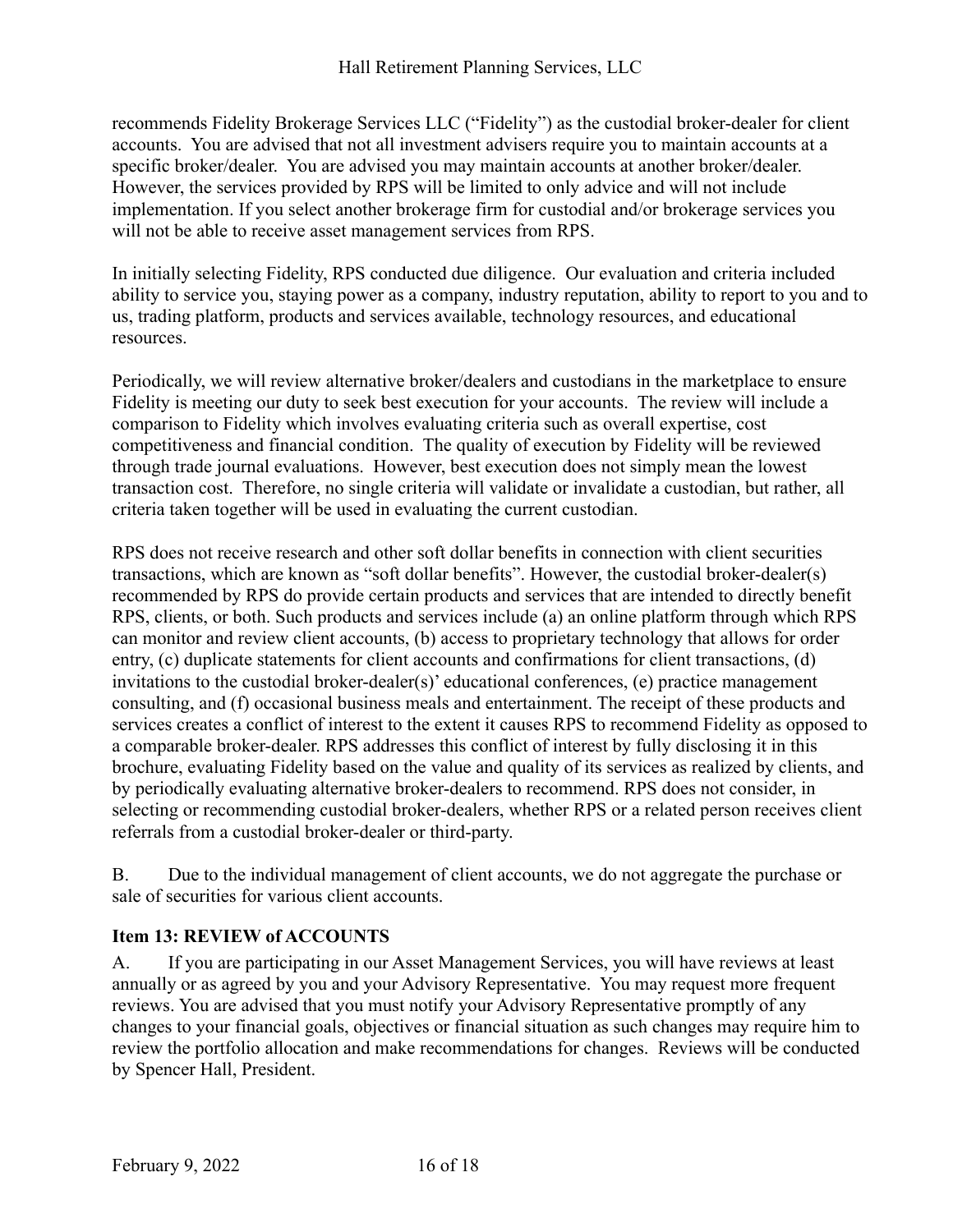recommends Fidelity Brokerage Services LLC ("Fidelity") as the custodial broker-dealer for client accounts. You are advised that not all investment advisers require you to maintain accounts at a specific broker/dealer. You are advised you may maintain accounts at another broker/dealer. However, the services provided by RPS will be limited to only advice and will not include implementation. If you select another brokerage firm for custodial and/or brokerage services you will not be able to receive asset management services from RPS.

In initially selecting Fidelity, RPS conducted due diligence. Our evaluation and criteria included ability to service you, staying power as a company, industry reputation, ability to report to you and to us, trading platform, products and services available, technology resources, and educational resources.

Periodically, we will review alternative broker/dealers and custodians in the marketplace to ensure Fidelity is meeting our duty to seek best execution for your accounts. The review will include a comparison to Fidelity which involves evaluating criteria such as overall expertise, cost competitiveness and financial condition. The quality of execution by Fidelity will be reviewed through trade journal evaluations. However, best execution does not simply mean the lowest transaction cost. Therefore, no single criteria will validate or invalidate a custodian, but rather, all criteria taken together will be used in evaluating the current custodian.

RPS does not receive research and other soft dollar benefits in connection with client securities transactions, which are known as "soft dollar benefits". However, the custodial broker-dealer(s) recommended by RPS do provide certain products and services that are intended to directly benefit RPS, clients, or both. Such products and services include (a) an online platform through which RPS can monitor and review client accounts, (b) access to proprietary technology that allows for order entry, (c) duplicate statements for client accounts and confirmations for client transactions, (d) invitations to the custodial broker-dealer(s)' educational conferences, (e) practice management consulting, and (f) occasional business meals and entertainment. The receipt of these products and services creates a conflict of interest to the extent it causes RPS to recommend Fidelity as opposed to a comparable broker-dealer. RPS addresses this conflict of interest by fully disclosing it in this brochure, evaluating Fidelity based on the value and quality of its services as realized by clients, and by periodically evaluating alternative broker-dealers to recommend. RPS does not consider, in selecting or recommending custodial broker-dealers, whether RPS or a related person receives client referrals from a custodial broker-dealer or third-party.

B. Due to the individual management of client accounts, we do not aggregate the purchase or sale of securities for various client accounts.

## <span id="page-15-0"></span>**Item 13: REVIEW of ACCOUNTS**

A. If you are participating in our Asset Management Services, you will have reviews at least annually or as agreed by you and your Advisory Representative. You may request more frequent reviews. You are advised that you must notify your Advisory Representative promptly of any changes to your financial goals, objectives or financial situation as such changes may require him to review the portfolio allocation and make recommendations for changes. Reviews will be conducted by Spencer Hall, President.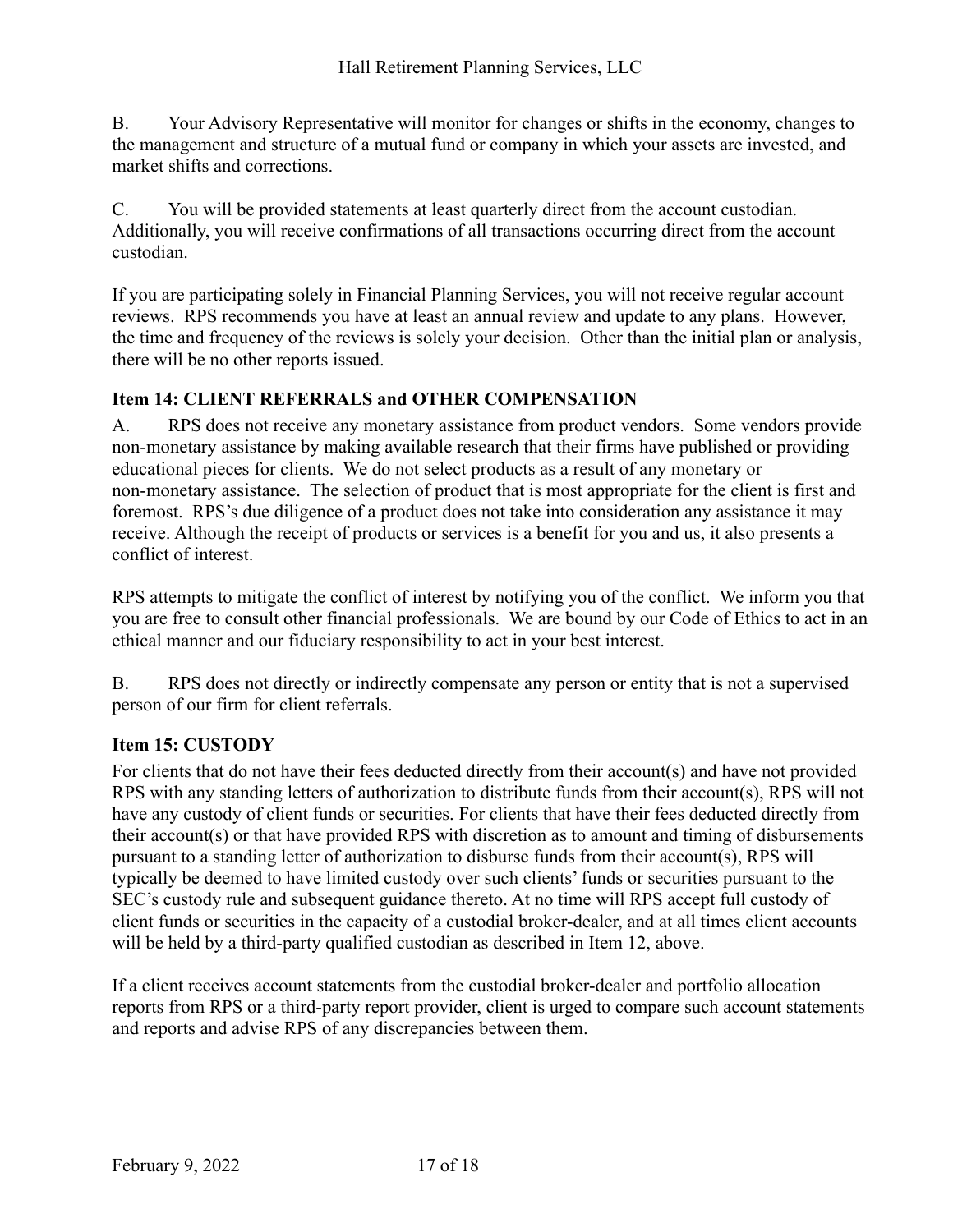B. Your Advisory Representative will monitor for changes or shifts in the economy, changes to the management and structure of a mutual fund or company in which your assets are invested, and market shifts and corrections.

C. You will be provided statements at least quarterly direct from the account custodian. Additionally, you will receive confirmations of all transactions occurring direct from the account custodian.

If you are participating solely in Financial Planning Services, you will not receive regular account reviews. RPS recommends you have at least an annual review and update to any plans. However, the time and frequency of the reviews is solely your decision. Other than the initial plan or analysis, there will be no other reports issued.

## <span id="page-16-0"></span>**Item 14: CLIENT REFERRALS and OTHER COMPENSATION**

A. RPS does not receive any monetary assistance from product vendors. Some vendors provide non-monetary assistance by making available research that their firms have published or providing educational pieces for clients. We do not select products as a result of any monetary or non-monetary assistance. The selection of product that is most appropriate for the client is first and foremost. RPS's due diligence of a product does not take into consideration any assistance it may receive. Although the receipt of products or services is a benefit for you and us, it also presents a conflict of interest.

RPS attempts to mitigate the conflict of interest by notifying you of the conflict. We inform you that you are free to consult other financial professionals. We are bound by our Code of Ethics to act in an ethical manner and our fiduciary responsibility to act in your best interest.

B. RPS does not directly or indirectly compensate any person or entity that is not a supervised person of our firm for client referrals.

## <span id="page-16-1"></span>**Item 15: CUSTODY**

For clients that do not have their fees deducted directly from their account(s) and have not provided RPS with any standing letters of authorization to distribute funds from their account(s), RPS will not have any custody of client funds or securities. For clients that have their fees deducted directly from their account(s) or that have provided RPS with discretion as to amount and timing of disbursements pursuant to a standing letter of authorization to disburse funds from their account(s), RPS will typically be deemed to have limited custody over such clients' funds or securities pursuant to the SEC's custody rule and subsequent guidance thereto. At no time will RPS accept full custody of client funds or securities in the capacity of a custodial broker-dealer, and at all times client accounts will be held by a third-party qualified custodian as described in Item 12, above.

If a client receives account statements from the custodial broker-dealer and portfolio allocation reports from RPS or a third-party report provider, client is urged to compare such account statements and reports and advise RPS of any discrepancies between them.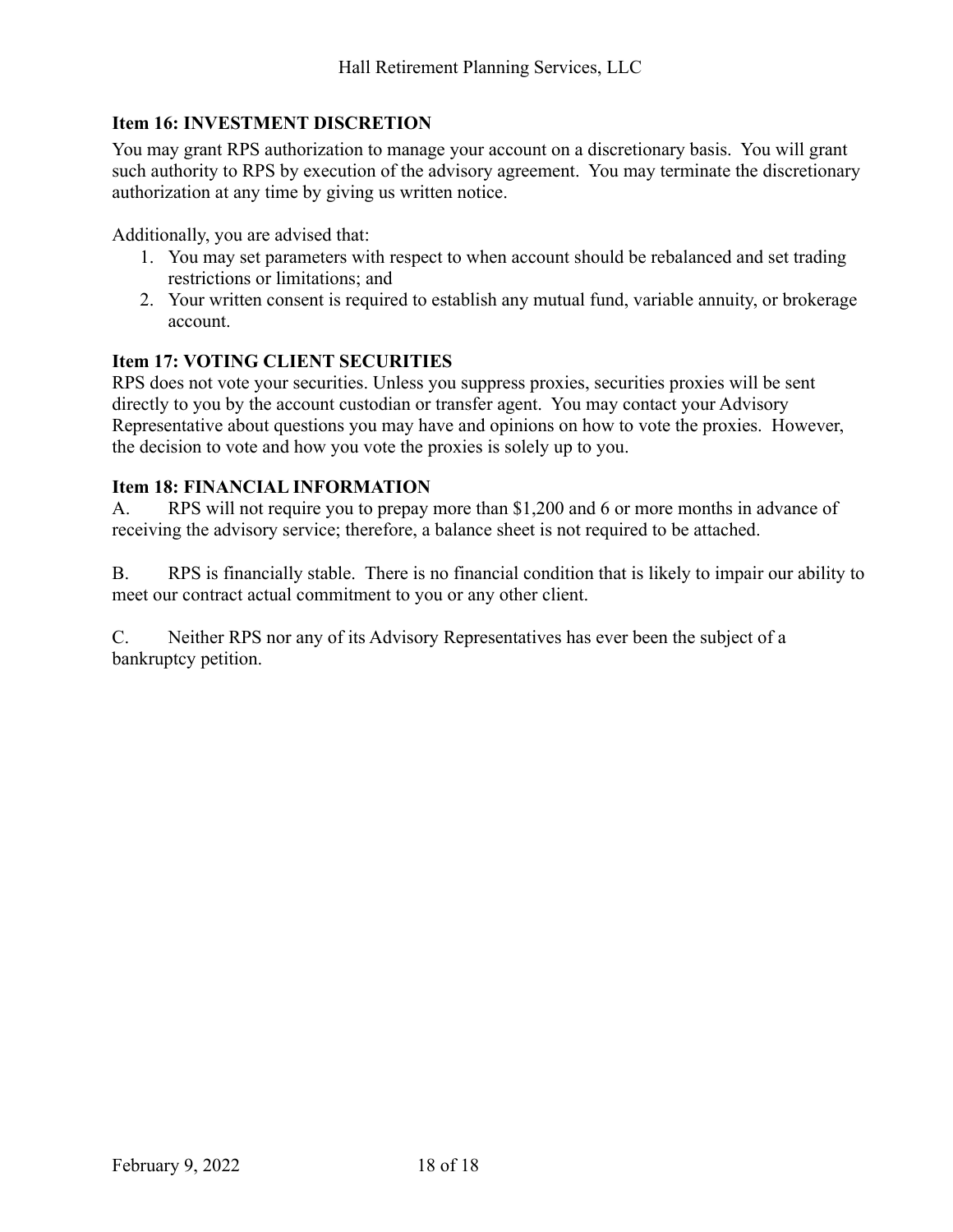## <span id="page-17-0"></span>**Item 16: INVESTMENT DISCRETION**

You may grant RPS authorization to manage your account on a discretionary basis. You will grant such authority to RPS by execution of the advisory agreement. You may terminate the discretionary authorization at any time by giving us written notice.

Additionally, you are advised that:

- 1. You may set parameters with respect to when account should be rebalanced and set trading restrictions or limitations; and
- 2. Your written consent is required to establish any mutual fund, variable annuity, or brokerage account.

#### <span id="page-17-1"></span>**Item 17: VOTING CLIENT SECURITIES**

RPS does not vote your securities. Unless you suppress proxies, securities proxies will be sent directly to you by the account custodian or transfer agent. You may contact your Advisory Representative about questions you may have and opinions on how to vote the proxies. However, the decision to vote and how you vote the proxies is solely up to you.

#### <span id="page-17-2"></span>**Item 18: FINANCIAL INFORMATION**

A. RPS will not require you to prepay more than \$1,200 and 6 or more months in advance of receiving the advisory service; therefore, a balance sheet is not required to be attached.

B. RPS is financially stable. There is no financial condition that is likely to impair our ability to meet our contract actual commitment to you or any other client.

C. Neither RPS nor any of its Advisory Representatives has ever been the subject of a bankruptcy petition.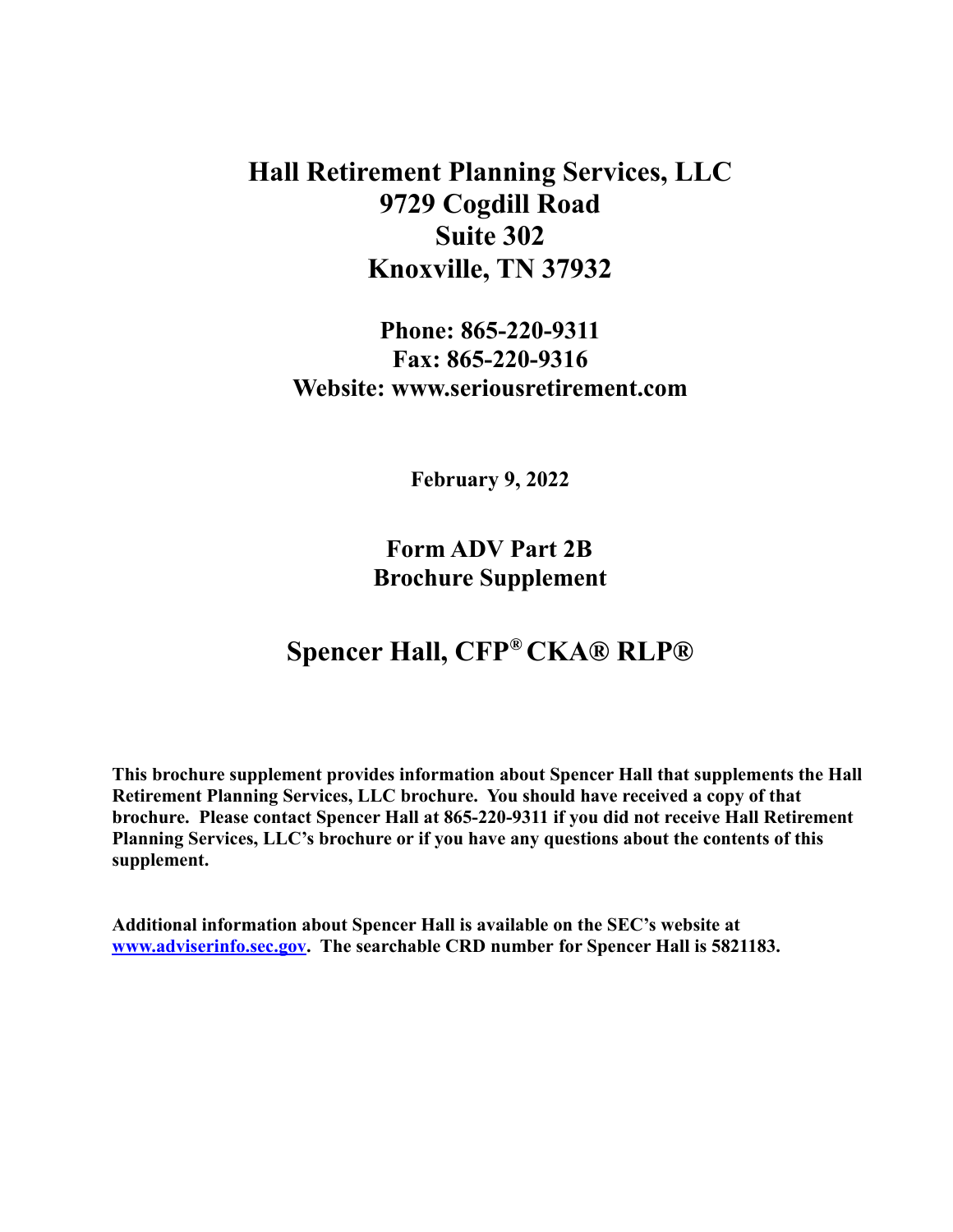**Hall Retirement Planning Services, LLC 9729 Cogdill Road Suite 302 Knoxville, TN 37932**

**Phone: 865-220-9311 Fax: 865-220-9316 Website: www.seriousretirement.com**

**February 9, 2022**

**Form ADV Part 2B Brochure Supplement**

# **Spencer Hall, CFP® CKA® RLP®**

**This brochure supplement provides information about Spencer Hall that supplements the Hall Retirement Planning Services, LLC brochure. You should have received a copy of that brochure. Please contact Spencer Hall at 865-220-9311 if you did not receive Hall Retirement Planning Services, LLC's brochure or if you have any questions about the contents of this supplement.**

**Additional information about Spencer Hall is available on the SEC's website at [www.adviserinfo.sec.gov.](http://www.adviserinfo.sec.gov) The searchable CRD number for Spencer Hall is 5821183.**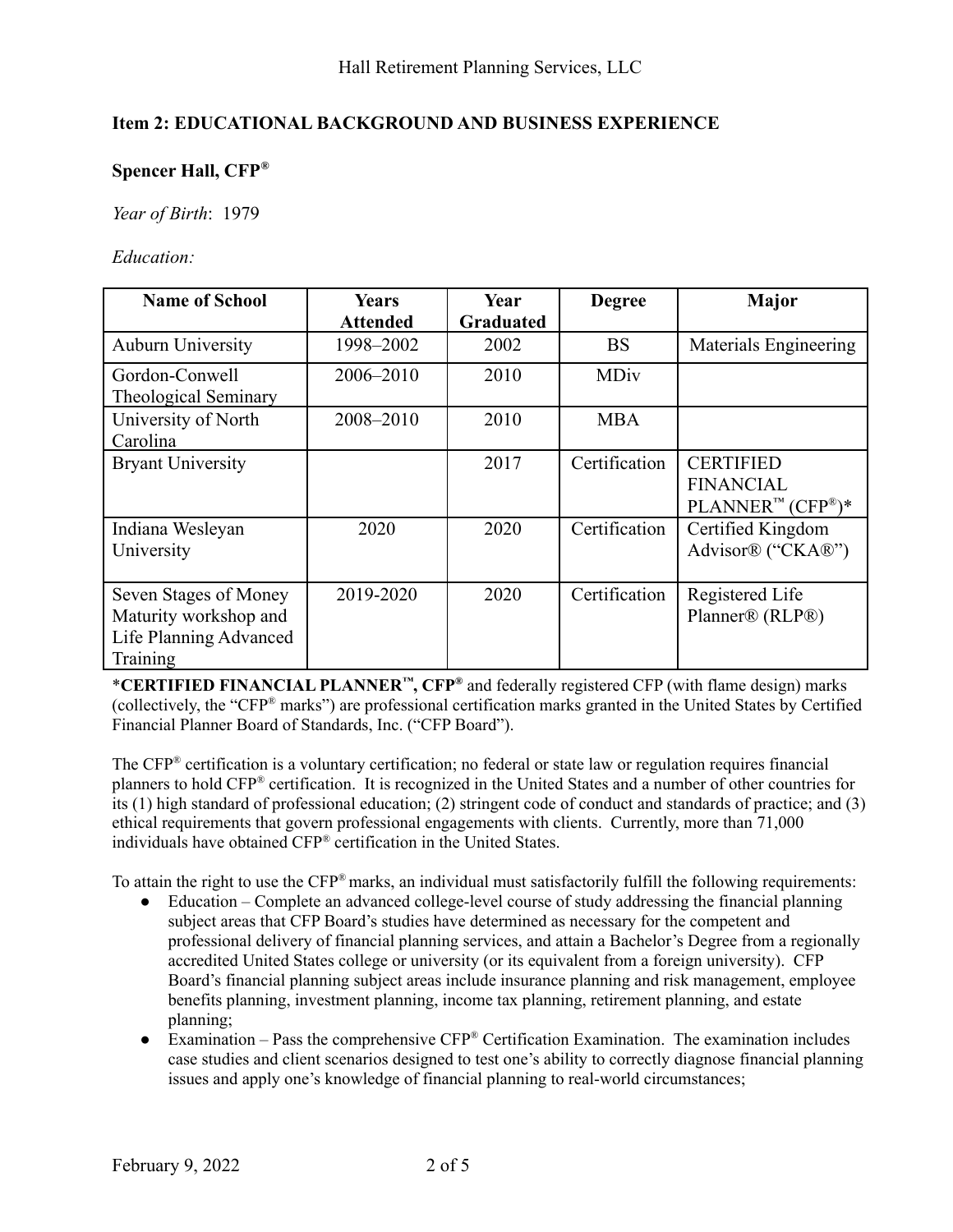#### **Item 2: EDUCATIONAL BACKGROUND AND BUSINESS EXPERIENCE**

### **Spencer Hall, CFP®**

*Year of Birth*: 1979

*Education:*

| <b>Name of School</b>                                                                | <b>Years</b><br><b>Attended</b> | Year<br><b>Graduated</b> | <b>Degree</b> | <b>Major</b>                                                            |
|--------------------------------------------------------------------------------------|---------------------------------|--------------------------|---------------|-------------------------------------------------------------------------|
| <b>Auburn University</b>                                                             | 1998-2002                       | 2002                     | <b>BS</b>     | Materials Engineering                                                   |
| Gordon-Conwell<br><b>Theological Seminary</b>                                        | 2006–2010                       | 2010                     | <b>MDiv</b>   |                                                                         |
| University of North<br>Carolina                                                      | 2008-2010                       | 2010                     | <b>MBA</b>    |                                                                         |
| <b>Bryant University</b>                                                             |                                 | 2017                     | Certification | <b>CERTIFIED</b><br><b>FINANCIAL</b><br>$PLANNER^{m} (CFP^{\otimes})^*$ |
| Indiana Wesleyan<br>University                                                       | 2020                            | 2020                     | Certification | Certified Kingdom<br>Advisor® ("CKA®")                                  |
| Seven Stages of Money<br>Maturity workshop and<br>Life Planning Advanced<br>Training | 2019-2020                       | 2020                     | Certification | Registered Life<br>Planner® (RLP®)                                      |

\***CERTIFIED FINANCIAL PLANNER ™, CFP ®** and federally registered CFP (with flame design) marks (collectively, the "CFP ® marks") are professional certification marks granted in the United States by Certified Financial Planner Board of Standards, Inc. ("CFP Board").

The CFP ® certification is a voluntary certification; no federal or state law or regulation requires financial planners to hold CFP ® certification. It is recognized in the United States and a number of other countries for its (1) high standard of professional education; (2) stringent code of conduct and standards of practice; and (3) ethical requirements that govern professional engagements with clients. Currently, more than 71,000 individuals have obtained CFP ® certification in the United States.

To attain the right to use the CFP<sup>®</sup> marks, an individual must satisfactorily fulfill the following requirements:

- Education Complete an advanced college-level course of study addressing the financial planning subject areas that CFP Board's studies have determined as necessary for the competent and professional delivery of financial planning services, and attain a Bachelor's Degree from a regionally accredited United States college or university (or its equivalent from a foreign university). CFP Board's financial planning subject areas include insurance planning and risk management, employee benefits planning, investment planning, income tax planning, retirement planning, and estate planning;
- Examination Pass the comprehensive  $CFP^{\otimes}$  Certification Examination. The examination includes case studies and client scenarios designed to test one's ability to correctly diagnose financial planning issues and apply one's knowledge of financial planning to real-world circumstances;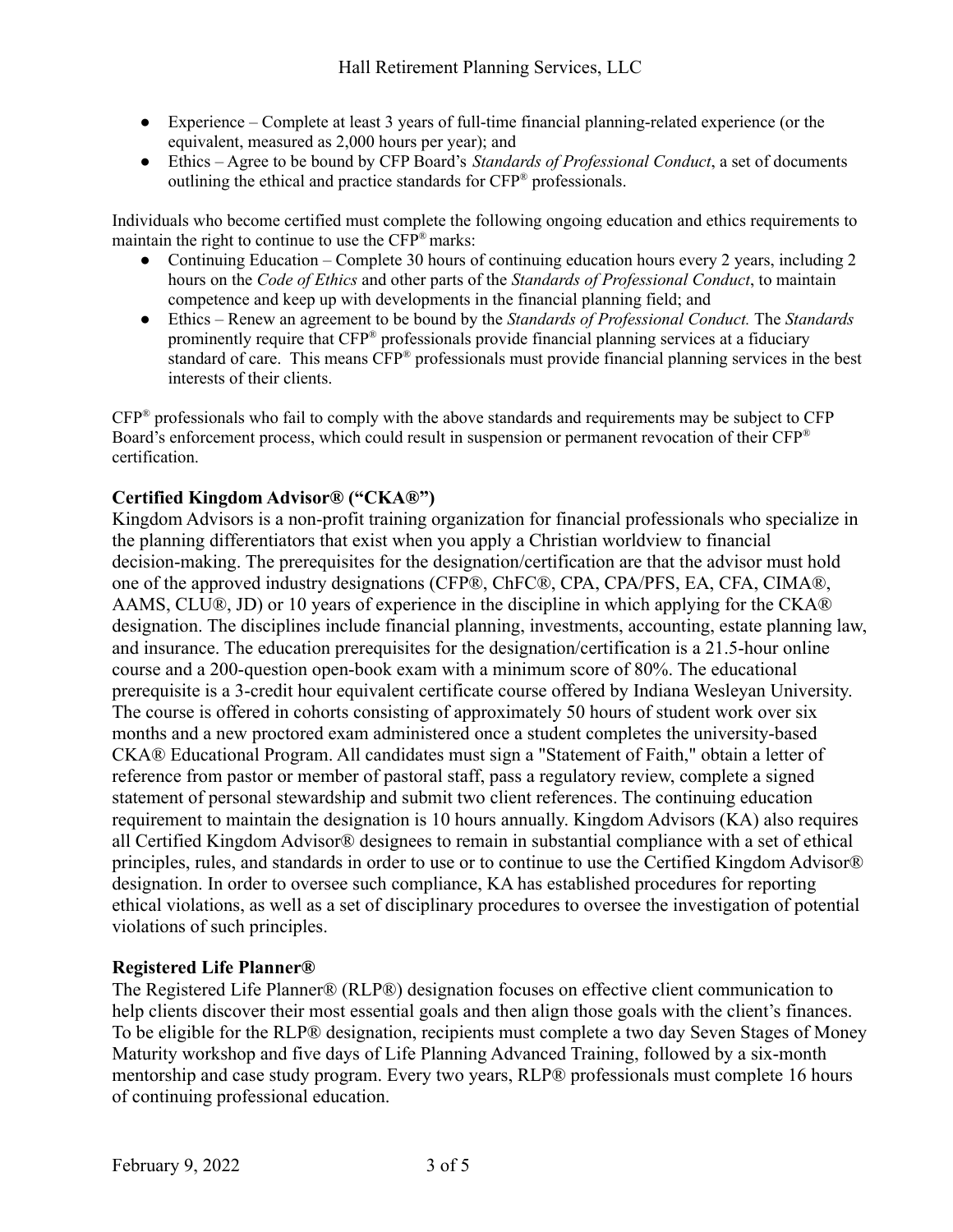- Experience Complete at least 3 years of full-time financial planning-related experience (or the equivalent, measured as 2,000 hours per year); and
- Ethics Agree to be bound by CFP Board's *Standards of Professional Conduct*, a set of documents outlining the ethical and practice standards for CFP ® professionals.

Individuals who become certified must complete the following ongoing education and ethics requirements to maintain the right to continue to use the  $CFP^*$  marks:

- Continuing Education Complete 30 hours of continuing education hours every 2 years, including 2 hours on the *Code of Ethics* and other parts of the *Standards of Professional Conduct*, to maintain competence and keep up with developments in the financial planning field; and
- Ethics Renew an agreement to be bound by the *Standards of Professional Conduct.* The *Standards* prominently require that CFP ® professionals provide financial planning services at a fiduciary standard of care. This means CFP<sup>®</sup> professionals must provide financial planning services in the best interests of their clients.

CFP ® professionals who fail to comply with the above standards and requirements may be subject to CFP Board's enforcement process, which could result in suspension or permanent revocation of their CFP<sup>®</sup> certification.

## **Certified Kingdom Advisor® ("CKA®")**

Kingdom Advisors is a non-profit training organization for financial professionals who specialize in the planning differentiators that exist when you apply a Christian worldview to financial decision-making. The prerequisites for the designation/certification are that the advisor must hold one of the approved industry designations (CFP®, ChFC®, CPA, CPA/PFS, EA, CFA, CIMA®, AAMS, CLU®, JD) or 10 years of experience in the discipline in which applying for the CKA® designation. The disciplines include financial planning, investments, accounting, estate planning law, and insurance. The education prerequisites for the designation/certification is a 21.5-hour online course and a 200-question open-book exam with a minimum score of 80%. The educational prerequisite is a 3-credit hour equivalent certificate course offered by Indiana Wesleyan University. The course is offered in cohorts consisting of approximately 50 hours of student work over six months and a new proctored exam administered once a student completes the university-based CKA® Educational Program. All candidates must sign a "Statement of Faith," obtain a letter of reference from pastor or member of pastoral staff, pass a regulatory review, complete a signed statement of personal stewardship and submit two client references. The continuing education requirement to maintain the designation is 10 hours annually. Kingdom Advisors (KA) also requires all Certified Kingdom Advisor® designees to remain in substantial compliance with a set of ethical principles, rules, and standards in order to use or to continue to use the Certified Kingdom Advisor® designation. In order to oversee such compliance, KA has established procedures for reporting ethical violations, as well as a set of disciplinary procedures to oversee the investigation of potential violations of such principles.

#### **Registered Life Planner®**

The Registered Life Planner® (RLP®) designation focuses on effective client communication to help clients discover their most essential goals and then align those goals with the client's finances. To be eligible for the RLP® designation, recipients must complete a two day Seven Stages of Money Maturity workshop and five days of Life Planning Advanced Training, followed by a six-month mentorship and case study program. Every two years, RLP® professionals must complete 16 hours of continuing professional education.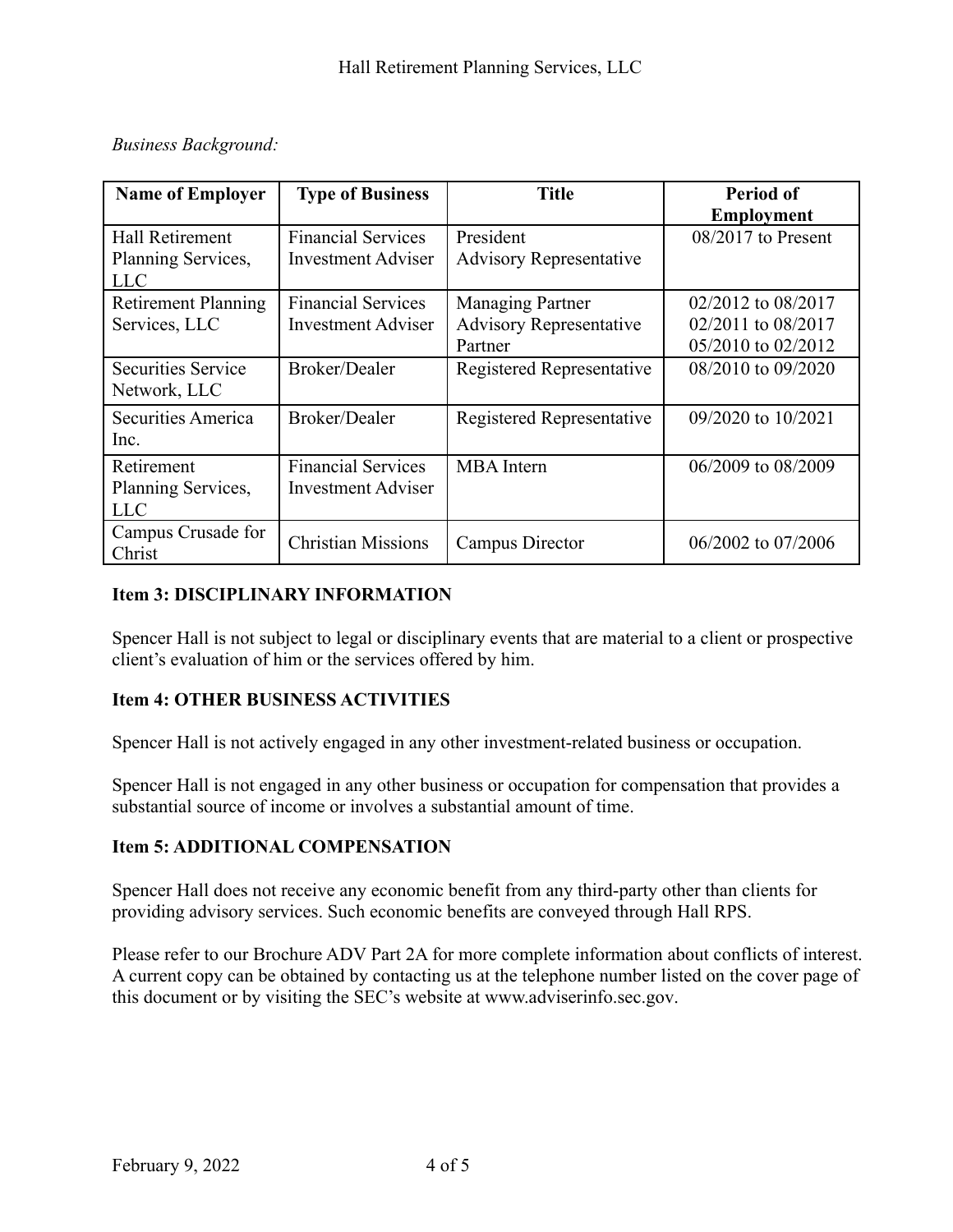## *Business Background:*

| <b>Name of Employer</b>    | <b>Type of Business</b>   | <b>Title</b>                   | Period of            |
|----------------------------|---------------------------|--------------------------------|----------------------|
|                            |                           |                                | <b>Employment</b>    |
| <b>Hall Retirement</b>     | <b>Financial Services</b> | President                      | $08/2017$ to Present |
| Planning Services,         | <b>Investment Adviser</b> | <b>Advisory Representative</b> |                      |
| LLC                        |                           |                                |                      |
| <b>Retirement Planning</b> | <b>Financial Services</b> | <b>Managing Partner</b>        | 02/2012 to 08/2017   |
| Services, LLC              | <b>Investment Adviser</b> | <b>Advisory Representative</b> | 02/2011 to 08/2017   |
|                            |                           | Partner                        | 05/2010 to 02/2012   |
| <b>Securities Service</b>  | Broker/Dealer             | Registered Representative      | 08/2010 to 09/2020   |
| Network, LLC               |                           |                                |                      |
| Securities America         | Broker/Dealer             | Registered Representative      | 09/2020 to 10/2021   |
| Inc.                       |                           |                                |                      |
| Retirement                 | <b>Financial Services</b> | <b>MBA</b> Intern              | 06/2009 to 08/2009   |
| Planning Services,         | <b>Investment Adviser</b> |                                |                      |
| <b>LLC</b>                 |                           |                                |                      |
| Campus Crusade for         | <b>Christian Missions</b> |                                |                      |
| Christ                     |                           | Campus Director                | 06/2002 to 07/2006   |

## **Item 3: DISCIPLINARY INFORMATION**

Spencer Hall is not subject to legal or disciplinary events that are material to a client or prospective client's evaluation of him or the services offered by him.

#### **Item 4: OTHER BUSINESS ACTIVITIES**

Spencer Hall is not actively engaged in any other investment-related business or occupation.

Spencer Hall is not engaged in any other business or occupation for compensation that provides a substantial source of income or involves a substantial amount of time.

#### **Item 5: ADDITIONAL COMPENSATION**

Spencer Hall does not receive any economic benefit from any third-party other than clients for providing advisory services. Such economic benefits are conveyed through Hall RPS.

Please refer to our Brochure ADV Part 2A for more complete information about conflicts of interest. A current copy can be obtained by contacting us at the telephone number listed on the cover page of this document or by visiting the SEC's website at [www.adviserinfo.sec.gov](http://www.adviserinfo.sec.gov).